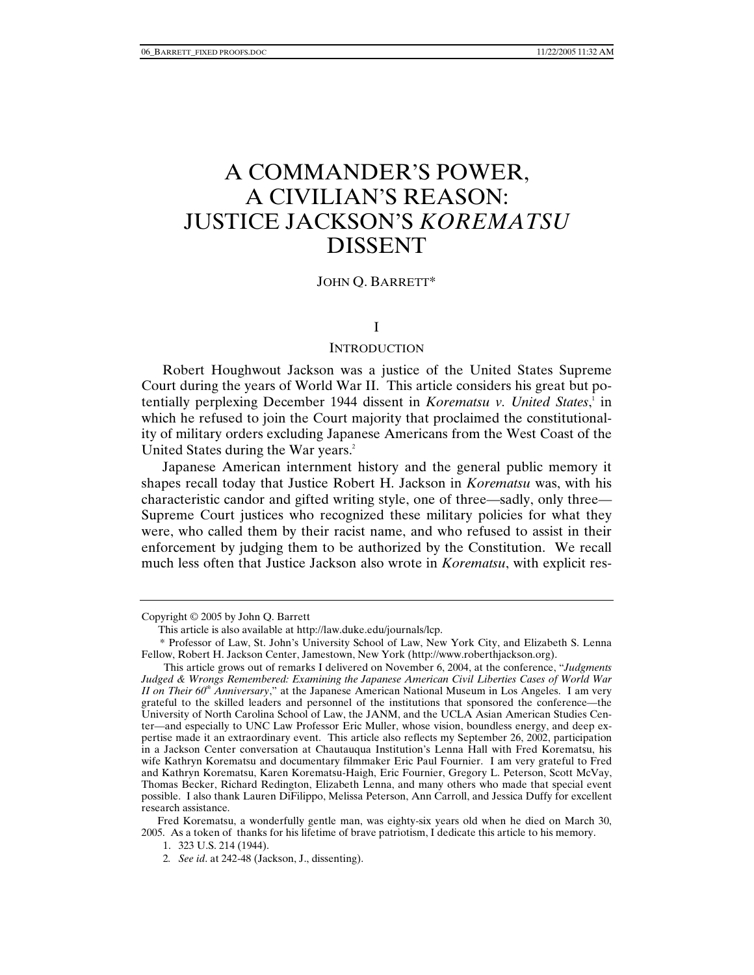# A COMMANDER'S POWER, A CIVILIAN'S REASON: JUSTICE JACKSON'S *KOREMATSU* DISSENT

#### JOHN Q. BARRETT\*

## I

#### **INTRODUCTION**

Robert Houghwout Jackson was a justice of the United States Supreme Court during the years of World War II. This article considers his great but potentially perplexing December 1944 dissent in *Korematsu v. United States*,<sup>1</sup> in which he refused to join the Court majority that proclaimed the constitutionality of military orders excluding Japanese Americans from the West Coast of the United States during the War years.<sup>2</sup>

Japanese American internment history and the general public memory it shapes recall today that Justice Robert H. Jackson in *Korematsu* was, with his characteristic candor and gifted writing style, one of three—sadly, only three— Supreme Court justices who recognized these military policies for what they were, who called them by their racist name, and who refused to assist in their enforcement by judging them to be authorized by the Constitution. We recall much less often that Justice Jackson also wrote in *Korematsu*, with explicit res-

Fred Korematsu, a wonderfully gentle man, was eighty-six years old when he died on March 30, 2005. As a token of thanks for his lifetime of brave patriotism, I dedicate this article to his memory.

1. 323 U.S. 214 (1944).

Copyright © 2005 by John Q. Barrett

This article is also available at http://law.duke.edu/journals/lcp.

 <sup>\*</sup> Professor of Law, St. John's University School of Law, New York City, and Elizabeth S. Lenna Fellow, Robert H. Jackson Center, Jamestown, New York (http://www.roberthjackson.org).

This article grows out of remarks I delivered on November 6, 2004, at the conference, "*Judgments Judged & Wrongs Remembered: Examining the Japanese American Civil Liberties Cases of World War II on Their 60<sup>th</sup> Anniversary*," at the Japanese American National Museum in Los Angeles. I am very grateful to the skilled leaders and personnel of the institutions that sponsored the conference—the University of North Carolina School of Law, the JANM, and the UCLA Asian American Studies Center—and especially to UNC Law Professor Eric Muller, whose vision, boundless energy, and deep expertise made it an extraordinary event. This article also reflects my September 26, 2002, participation in a Jackson Center conversation at Chautauqua Institution's Lenna Hall with Fred Korematsu, his wife Kathryn Korematsu and documentary filmmaker Eric Paul Fournier. I am very grateful to Fred and Kathryn Korematsu, Karen Korematsu-Haigh, Eric Fournier, Gregory L. Peterson, Scott McVay, Thomas Becker, Richard Redington, Elizabeth Lenna, and many others who made that special event possible. I also thank Lauren DiFilippo, Melissa Peterson, Ann Carroll, and Jessica Duffy for excellent research assistance.

<sup>2</sup>*. See id*. at 242-48 (Jackson, J., dissenting).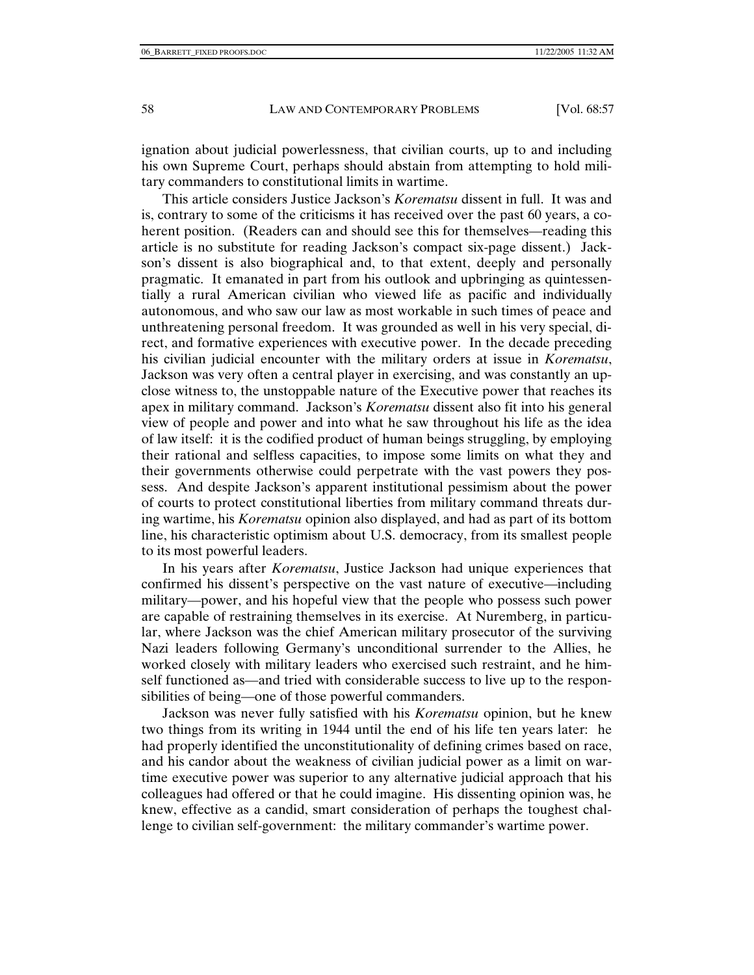ignation about judicial powerlessness, that civilian courts, up to and including his own Supreme Court, perhaps should abstain from attempting to hold military commanders to constitutional limits in wartime.

This article considers Justice Jackson's *Korematsu* dissent in full. It was and is, contrary to some of the criticisms it has received over the past 60 years, a coherent position. (Readers can and should see this for themselves—reading this article is no substitute for reading Jackson's compact six-page dissent.) Jackson's dissent is also biographical and, to that extent, deeply and personally pragmatic. It emanated in part from his outlook and upbringing as quintessentially a rural American civilian who viewed life as pacific and individually autonomous, and who saw our law as most workable in such times of peace and unthreatening personal freedom. It was grounded as well in his very special, direct, and formative experiences with executive power. In the decade preceding his civilian judicial encounter with the military orders at issue in *Korematsu*, Jackson was very often a central player in exercising, and was constantly an upclose witness to, the unstoppable nature of the Executive power that reaches its apex in military command. Jackson's *Korematsu* dissent also fit into his general view of people and power and into what he saw throughout his life as the idea of law itself: it is the codified product of human beings struggling, by employing their rational and selfless capacities, to impose some limits on what they and their governments otherwise could perpetrate with the vast powers they possess. And despite Jackson's apparent institutional pessimism about the power of courts to protect constitutional liberties from military command threats during wartime, his *Korematsu* opinion also displayed, and had as part of its bottom line, his characteristic optimism about U.S. democracy, from its smallest people to its most powerful leaders.

In his years after *Korematsu*, Justice Jackson had unique experiences that confirmed his dissent's perspective on the vast nature of executive—including military—power, and his hopeful view that the people who possess such power are capable of restraining themselves in its exercise. At Nuremberg, in particular, where Jackson was the chief American military prosecutor of the surviving Nazi leaders following Germany's unconditional surrender to the Allies, he worked closely with military leaders who exercised such restraint, and he himself functioned as—and tried with considerable success to live up to the responsibilities of being—one of those powerful commanders.

Jackson was never fully satisfied with his *Korematsu* opinion, but he knew two things from its writing in 1944 until the end of his life ten years later: he had properly identified the unconstitutionality of defining crimes based on race, and his candor about the weakness of civilian judicial power as a limit on wartime executive power was superior to any alternative judicial approach that his colleagues had offered or that he could imagine. His dissenting opinion was, he knew, effective as a candid, smart consideration of perhaps the toughest challenge to civilian self-government: the military commander's wartime power.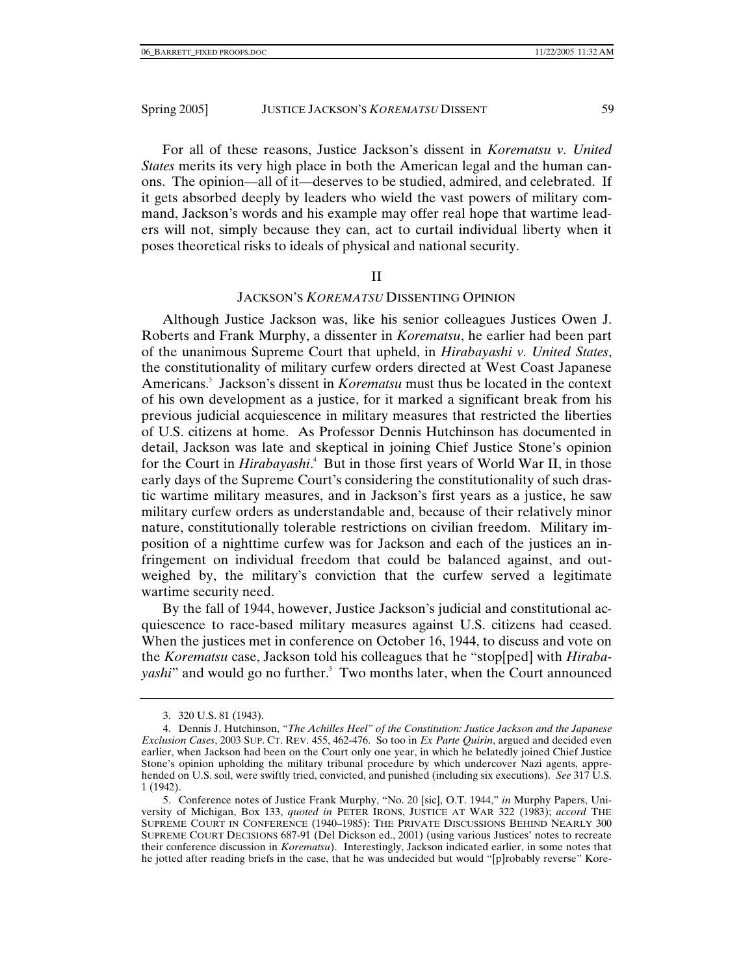For all of these reasons, Justice Jackson's dissent in *Korematsu v. United States* merits its very high place in both the American legal and the human canons. The opinion—all of it—deserves to be studied, admired, and celebrated. If it gets absorbed deeply by leaders who wield the vast powers of military command, Jackson's words and his example may offer real hope that wartime leaders will not, simply because they can, act to curtail individual liberty when it poses theoretical risks to ideals of physical and national security.

#### II

## JACKSON'S *KOREMATSU* DISSENTING OPINION

Although Justice Jackson was, like his senior colleagues Justices Owen J. Roberts and Frank Murphy, a dissenter in *Korematsu*, he earlier had been part of the unanimous Supreme Court that upheld, in *Hirabayashi v. United States*, the constitutionality of military curfew orders directed at West Coast Japanese Americans.3 Jackson's dissent in *Korematsu* must thus be located in the context of his own development as a justice, for it marked a significant break from his previous judicial acquiescence in military measures that restricted the liberties of U.S. citizens at home. As Professor Dennis Hutchinson has documented in detail, Jackson was late and skeptical in joining Chief Justice Stone's opinion for the Court in *Hirabayashi*.<sup>4</sup> But in those first years of World War II, in those early days of the Supreme Court's considering the constitutionality of such drastic wartime military measures, and in Jackson's first years as a justice, he saw military curfew orders as understandable and, because of their relatively minor nature, constitutionally tolerable restrictions on civilian freedom. Military imposition of a nighttime curfew was for Jackson and each of the justices an infringement on individual freedom that could be balanced against, and outweighed by, the military's conviction that the curfew served a legitimate wartime security need.

By the fall of 1944, however, Justice Jackson's judicial and constitutional acquiescence to race-based military measures against U.S. citizens had ceased. When the justices met in conference on October 16, 1944, to discuss and vote on the *Korematsu* case, Jackson told his colleagues that he "stop[ped] with *Hirabayashi*" and would go no further.<sup>5</sup> Two months later, when the Court announced

 <sup>3. 320</sup> U.S. 81 (1943).

 <sup>4.</sup> Dennis J. Hutchinson, *"The Achilles Heel" of the Constitution: Justice Jackson and the Japanese Exclusion Cases*, 2003 SUP. CT. REV. 455, 462-476. So too in *Ex Parte Quirin*, argued and decided even earlier, when Jackson had been on the Court only one year, in which he belatedly joined Chief Justice Stone's opinion upholding the military tribunal procedure by which undercover Nazi agents, apprehended on U.S. soil, were swiftly tried, convicted, and punished (including six executions). *See* 317 U.S. 1 (1942).

 <sup>5.</sup> Conference notes of Justice Frank Murphy, "No. 20 [sic], O.T. 1944," *in* Murphy Papers, University of Michigan, Box 133, *quoted in* PETER IRONS, JUSTICE AT WAR 322 (1983); *accord* THE SUPREME COURT IN CONFERENCE (1940–1985): THE PRIVATE DISCUSSIONS BEHIND NEARLY 300 SUPREME COURT DECISIONS 687-91 (Del Dickson ed., 2001) (using various Justices' notes to recreate their conference discussion in *Korematsu*). Interestingly, Jackson indicated earlier, in some notes that he jotted after reading briefs in the case, that he was undecided but would "[p]robably reverse" Kore-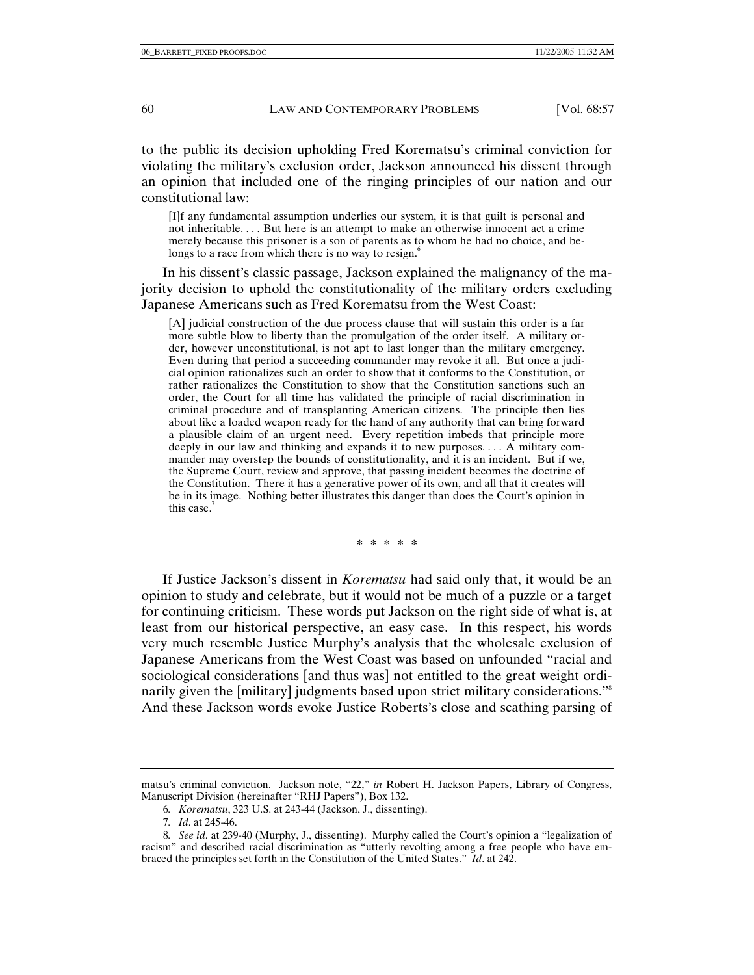to the public its decision upholding Fred Korematsu's criminal conviction for violating the military's exclusion order, Jackson announced his dissent through an opinion that included one of the ringing principles of our nation and our constitutional law:

[I]f any fundamental assumption underlies our system, it is that guilt is personal and not inheritable. . . . But here is an attempt to make an otherwise innocent act a crime merely because this prisoner is a son of parents as to whom he had no choice, and belongs to a race from which there is no way to resign.<sup>6</sup>

In his dissent's classic passage, Jackson explained the malignancy of the majority decision to uphold the constitutionality of the military orders excluding Japanese Americans such as Fred Korematsu from the West Coast:

[A] judicial construction of the due process clause that will sustain this order is a far more subtle blow to liberty than the promulgation of the order itself. A military order, however unconstitutional, is not apt to last longer than the military emergency. Even during that period a succeeding commander may revoke it all. But once a judicial opinion rationalizes such an order to show that it conforms to the Constitution, or rather rationalizes the Constitution to show that the Constitution sanctions such an order, the Court for all time has validated the principle of racial discrimination in criminal procedure and of transplanting American citizens.The principle then lies about like a loaded weapon ready for the hand of any authority that can bring forward a plausible claim of an urgent need. Every repetition imbeds that principle more deeply in our law and thinking and expands it to new purposes. . . . A military commander may overstep the bounds of constitutionality, and it is an incident. But if we, the Supreme Court, review and approve, that passing incident becomes the doctrine of the Constitution. There it has a generative power of its own, and all that it creates will be in its image. Nothing better illustrates this danger than does the Court's opinion in this case.

\* \* \* \* \*

If Justice Jackson's dissent in *Korematsu* had said only that, it would be an opinion to study and celebrate, but it would not be much of a puzzle or a target for continuing criticism. These words put Jackson on the right side of what is, at least from our historical perspective, an easy case. In this respect, his words very much resemble Justice Murphy's analysis that the wholesale exclusion of Japanese Americans from the West Coast was based on unfounded "racial and sociological considerations [and thus was] not entitled to the great weight ordinarily given the [military] judgments based upon strict military considerations."<sup>8</sup> And these Jackson words evoke Justice Roberts's close and scathing parsing of

matsu's criminal conviction. Jackson note, "22," *in* Robert H. Jackson Papers, Library of Congress, Manuscript Division (hereinafter "RHJ Papers"), Box 132.

<sup>6</sup>*. Korematsu*, 323 U.S. at 243-44 (Jackson, J., dissenting).

<sup>7</sup>*. Id*. at 245-46.

<sup>8</sup>*. See id*. at 239-40 (Murphy, J., dissenting). Murphy called the Court's opinion a "legalization of racism" and described racial discrimination as "utterly revolting among a free people who have embraced the principles set forth in the Constitution of the United States." *Id*. at 242.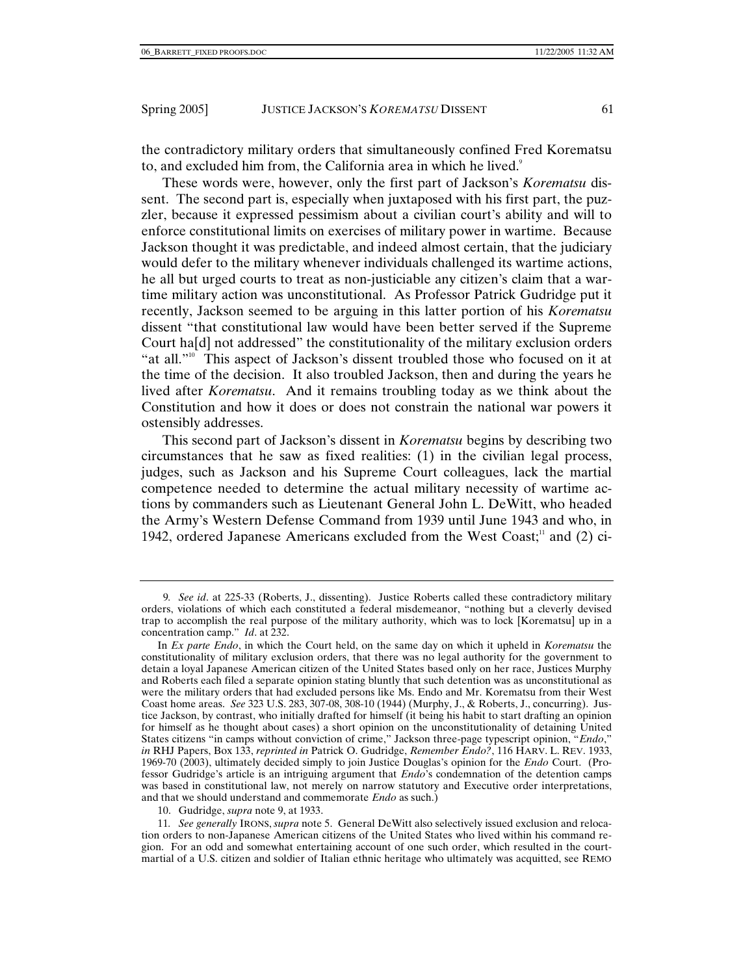the contradictory military orders that simultaneously confined Fred Korematsu to, and excluded him from, the California area in which he lived.<sup>9</sup>

These words were, however, only the first part of Jackson's *Korematsu* dissent. The second part is, especially when juxtaposed with his first part, the puzzler, because it expressed pessimism about a civilian court's ability and will to enforce constitutional limits on exercises of military power in wartime. Because Jackson thought it was predictable, and indeed almost certain, that the judiciary would defer to the military whenever individuals challenged its wartime actions, he all but urged courts to treat as non-justiciable any citizen's claim that a wartime military action was unconstitutional. As Professor Patrick Gudridge put it recently, Jackson seemed to be arguing in this latter portion of his *Korematsu* dissent "that constitutional law would have been better served if the Supreme Court ha[d] not addressed" the constitutionality of the military exclusion orders "at all."<sup>10</sup> This aspect of Jackson's dissent troubled those who focused on it at the time of the decision. It also troubled Jackson, then and during the years he lived after *Korematsu*. And it remains troubling today as we think about the Constitution and how it does or does not constrain the national war powers it ostensibly addresses.

This second part of Jackson's dissent in *Korematsu* begins by describing two circumstances that he saw as fixed realities: (1) in the civilian legal process, judges, such as Jackson and his Supreme Court colleagues, lack the martial competence needed to determine the actual military necessity of wartime actions by commanders such as Lieutenant General John L. DeWitt, who headed the Army's Western Defense Command from 1939 until June 1943 and who, in 1942, ordered Japanese Americans excluded from the West Coast;<sup>11</sup> and (2) ci-

10. Gudridge, *supra* note 9, at 1933.

<sup>9</sup>*. See id*. at 225-33 (Roberts, J., dissenting). Justice Roberts called these contradictory military orders, violations of which each constituted a federal misdemeanor, "nothing but a cleverly devised trap to accomplish the real purpose of the military authority, which was to lock [Korematsu] up in a concentration camp." *Id*. at 232.

In *Ex parte Endo*, in which the Court held, on the same day on which it upheld in *Korematsu* the constitutionality of military exclusion orders, that there was no legal authority for the government to detain a loyal Japanese American citizen of the United States based only on her race, Justices Murphy and Roberts each filed a separate opinion stating bluntly that such detention was as unconstitutional as were the military orders that had excluded persons like Ms. Endo and Mr. Korematsu from their West Coast home areas. *See* 323 U.S. 283, 307-08, 308-10 (1944) (Murphy, J., & Roberts, J., concurring). Justice Jackson, by contrast, who initially drafted for himself (it being his habit to start drafting an opinion for himself as he thought about cases) a short opinion on the unconstitutionality of detaining United States citizens "in camps without conviction of crime," Jackson three-page typescript opinion, "*Endo*," *in* RHJ Papers, Box 133, *reprinted in* Patrick O. Gudridge, *Remember Endo?*, 116 HARV. L. REV. 1933, 1969-70 (2003), ultimately decided simply to join Justice Douglas's opinion for the *Endo* Court. (Professor Gudridge's article is an intriguing argument that *Endo*'s condemnation of the detention camps was based in constitutional law, not merely on narrow statutory and Executive order interpretations, and that we should understand and commemorate *Endo* as such.)

<sup>11</sup>*. See generally* IRONS, *supra* note 5. General DeWitt also selectively issued exclusion and relocation orders to non-Japanese American citizens of the United States who lived within his command region. For an odd and somewhat entertaining account of one such order, which resulted in the courtmartial of a U.S. citizen and soldier of Italian ethnic heritage who ultimately was acquitted, see REMO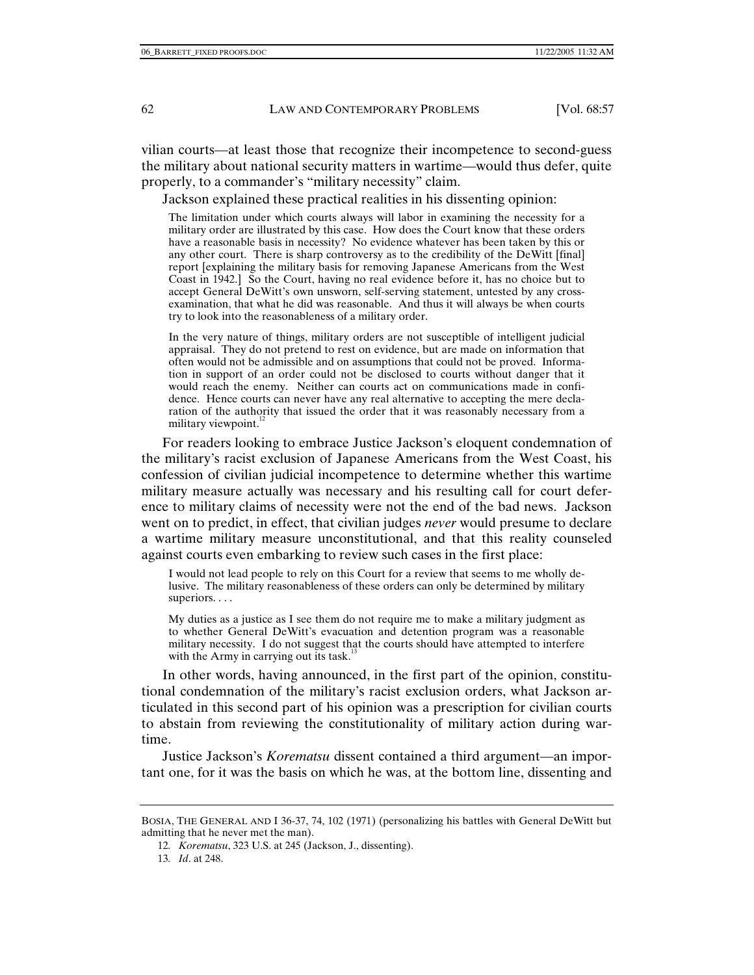vilian courts—at least those that recognize their incompetence to second-guess the military about national security matters in wartime—would thus defer, quite properly, to a commander's "military necessity" claim.

Jackson explained these practical realities in his dissenting opinion:

The limitation under which courts always will labor in examining the necessity for a military order are illustrated by this case. How does the Court know that these orders have a reasonable basis in necessity? No evidence whatever has been taken by this or any other court. There is sharp controversy as to the credibility of the DeWitt [final] report [explaining the military basis for removing Japanese Americans from the West Coast in 1942.] So the Court, having no real evidence before it, has no choice but to accept General DeWitt's own unsworn, self-serving statement, untested by any crossexamination, that what he did was reasonable. And thus it will always be when courts try to look into the reasonableness of a military order.

In the very nature of things, military orders are not susceptible of intelligent judicial appraisal. They do not pretend to rest on evidence, but are made on information that often would not be admissible and on assumptions that could not be proved. Information in support of an order could not be disclosed to courts without danger that it would reach the enemy. Neither can courts act on communications made in confidence. Hence courts can never have any real alternative to accepting the mere declaration of the authority that issued the order that it was reasonably necessary from a military viewpoint. $12$ 

For readers looking to embrace Justice Jackson's eloquent condemnation of the military's racist exclusion of Japanese Americans from the West Coast, his confession of civilian judicial incompetence to determine whether this wartime military measure actually was necessary and his resulting call for court deference to military claims of necessity were not the end of the bad news. Jackson went on to predict, in effect, that civilian judges *never* would presume to declare a wartime military measure unconstitutional, and that this reality counseled against courts even embarking to review such cases in the first place:

I would not lead people to rely on this Court for a review that seems to me wholly delusive. The military reasonableness of these orders can only be determined by military superiors. . . .

My duties as a justice as I see them do not require me to make a military judgment as to whether General DeWitt's evacuation and detention program was a reasonable military necessity. I do not suggest that the courts should have attempted to interfere with the Army in carrying out its task.<sup>13</sup>

In other words, having announced, in the first part of the opinion, constitutional condemnation of the military's racist exclusion orders, what Jackson articulated in this second part of his opinion was a prescription for civilian courts to abstain from reviewing the constitutionality of military action during wartime.

Justice Jackson's *Korematsu* dissent contained a third argument—an important one, for it was the basis on which he was, at the bottom line, dissenting and

BOSIA, THE GENERAL AND I 36-37, 74, 102 (1971) (personalizing his battles with General DeWitt but admitting that he never met the man).

<sup>12</sup>*. Korematsu*, 323 U.S. at 245 (Jackson, J., dissenting).

<sup>13</sup>*. Id*. at 248.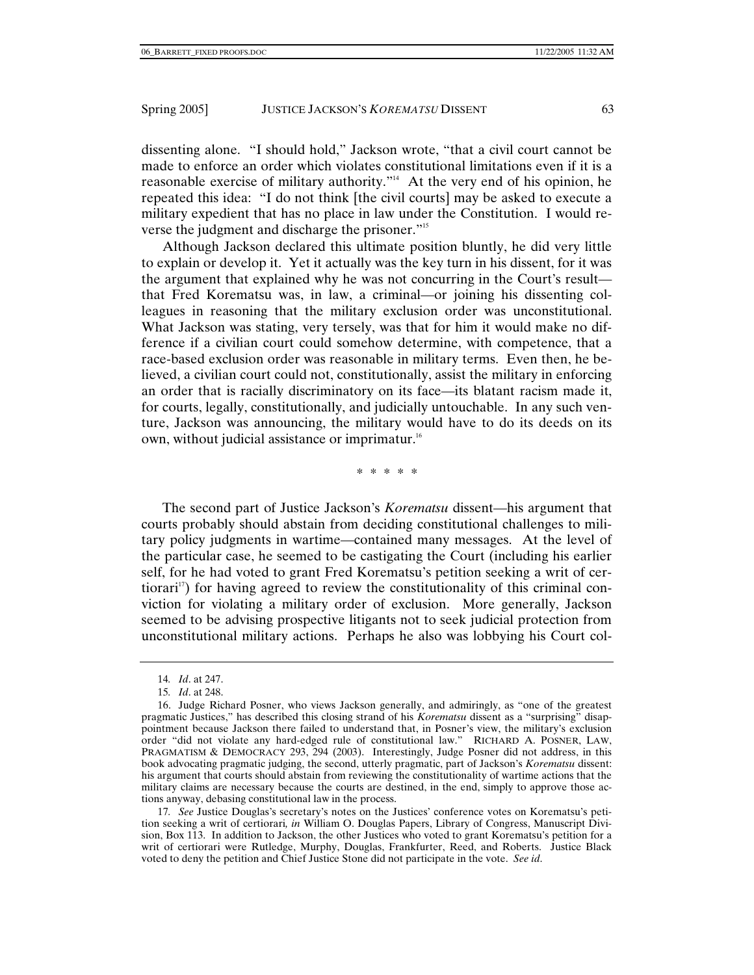dissenting alone. "I should hold," Jackson wrote, "that a civil court cannot be made to enforce an order which violates constitutional limitations even if it is a reasonable exercise of military authority."<sup>14</sup> At the very end of his opinion, he repeated this idea: "I do not think [the civil courts] may be asked to execute a military expedient that has no place in law under the Constitution. I would reverse the judgment and discharge the prisoner."<sup>15</sup>

Although Jackson declared this ultimate position bluntly, he did very little to explain or develop it. Yet it actually was the key turn in his dissent, for it was the argument that explained why he was not concurring in the Court's result that Fred Korematsu was, in law, a criminal—or joining his dissenting colleagues in reasoning that the military exclusion order was unconstitutional. What Jackson was stating, very tersely, was that for him it would make no difference if a civilian court could somehow determine, with competence, that a race-based exclusion order was reasonable in military terms. Even then, he believed, a civilian court could not, constitutionally, assist the military in enforcing an order that is racially discriminatory on its face—its blatant racism made it, for courts, legally, constitutionally, and judicially untouchable. In any such venture, Jackson was announcing, the military would have to do its deeds on its own, without judicial assistance or imprimatur.<sup>16</sup>

\* \* \* \* \*

The second part of Justice Jackson's *Korematsu* dissent—his argument that courts probably should abstain from deciding constitutional challenges to military policy judgments in wartime—contained many messages. At the level of the particular case, he seemed to be castigating the Court (including his earlier self, for he had voted to grant Fred Korematsu's petition seeking a writ of certiorari<sup>17</sup>) for having agreed to review the constitutionality of this criminal conviction for violating a military order of exclusion. More generally, Jackson seemed to be advising prospective litigants not to seek judicial protection from unconstitutional military actions. Perhaps he also was lobbying his Court col-

17*. See* Justice Douglas's secretary's notes on the Justices' conference votes on Korematsu's petition seeking a writ of certiorari*, in* William O. Douglas Papers, Library of Congress, Manuscript Division, Box 113. In addition to Jackson, the other Justices who voted to grant Korematsu's petition for a writ of certiorari were Rutledge, Murphy, Douglas, Frankfurter, Reed, and Roberts. Justice Black voted to deny the petition and Chief Justice Stone did not participate in the vote. *See id*.

<sup>14</sup>*. Id*. at 247.

<sup>15</sup>*. Id*. at 248.

 <sup>16.</sup> Judge Richard Posner, who views Jackson generally, and admiringly, as "one of the greatest pragmatic Justices," has described this closing strand of his *Korematsu* dissent as a "surprising" disappointment because Jackson there failed to understand that, in Posner's view, the military's exclusion order "did not violate any hard-edged rule of constitutional law." RICHARD A. POSNER, LAW, PRAGMATISM & DEMOCRACY 293, 294 (2003). Interestingly, Judge Posner did not address, in this book advocating pragmatic judging, the second, utterly pragmatic, part of Jackson's *Korematsu* dissent: his argument that courts should abstain from reviewing the constitutionality of wartime actions that the military claims are necessary because the courts are destined, in the end, simply to approve those actions anyway, debasing constitutional law in the process.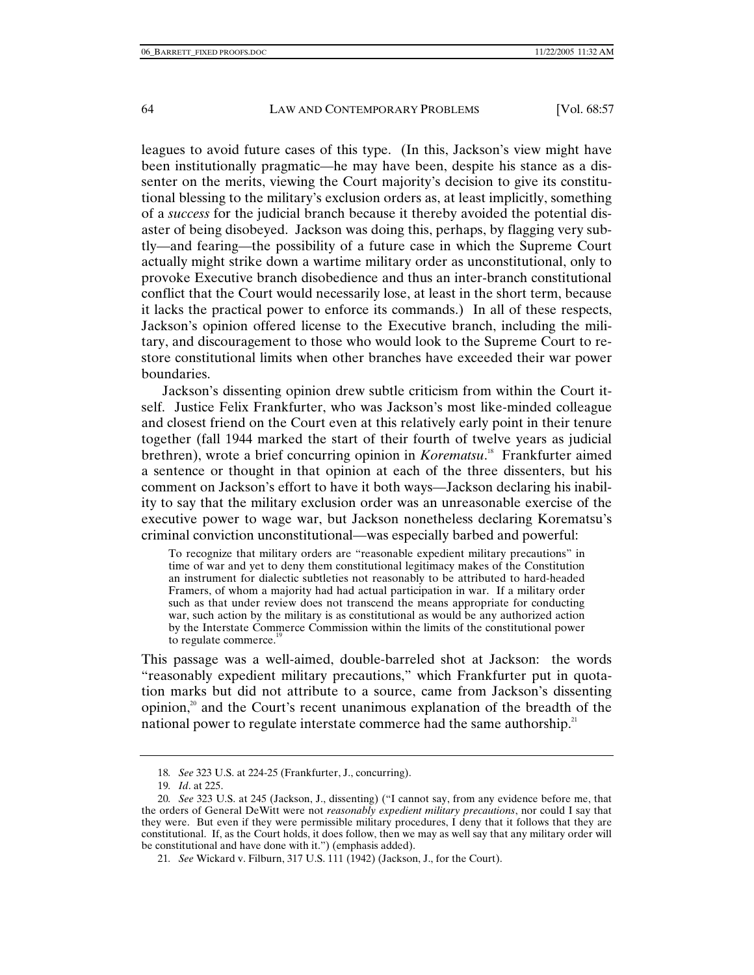leagues to avoid future cases of this type. (In this, Jackson's view might have been institutionally pragmatic—he may have been, despite his stance as a dissenter on the merits, viewing the Court majority's decision to give its constitutional blessing to the military's exclusion orders as, at least implicitly, something of a *success* for the judicial branch because it thereby avoided the potential disaster of being disobeyed. Jackson was doing this, perhaps, by flagging very subtly—and fearing—the possibility of a future case in which the Supreme Court actually might strike down a wartime military order as unconstitutional, only to provoke Executive branch disobedience and thus an inter-branch constitutional conflict that the Court would necessarily lose, at least in the short term, because it lacks the practical power to enforce its commands.) In all of these respects, Jackson's opinion offered license to the Executive branch, including the military, and discouragement to those who would look to the Supreme Court to restore constitutional limits when other branches have exceeded their war power boundaries.

Jackson's dissenting opinion drew subtle criticism from within the Court itself. Justice Felix Frankfurter, who was Jackson's most like-minded colleague and closest friend on the Court even at this relatively early point in their tenure together (fall 1944 marked the start of their fourth of twelve years as judicial brethren), wrote a brief concurring opinion in *Korematsu*. 18 Frankfurter aimed a sentence or thought in that opinion at each of the three dissenters, but his comment on Jackson's effort to have it both ways—Jackson declaring his inability to say that the military exclusion order was an unreasonable exercise of the executive power to wage war, but Jackson nonetheless declaring Korematsu's criminal conviction unconstitutional—was especially barbed and powerful:

To recognize that military orders are "reasonable expedient military precautions" in time of war and yet to deny them constitutional legitimacy makes of the Constitution an instrument for dialectic subtleties not reasonably to be attributed to hard-headed Framers, of whom a majority had had actual participation in war. If a military order such as that under review does not transcend the means appropriate for conducting war, such action by the military is as constitutional as would be any authorized action by the Interstate Commerce Commission within the limits of the constitutional power to regulate commerce.<sup>19</sup>

This passage was a well-aimed, double-barreled shot at Jackson: the words "reasonably expedient military precautions," which Frankfurter put in quotation marks but did not attribute to a source, came from Jackson's dissenting opinion,<sup>20</sup> and the Court's recent unanimous explanation of the breadth of the national power to regulate interstate commerce had the same authorship.<sup>21</sup>

<sup>18</sup>*. See* 323 U.S. at 224-25 (Frankfurter, J., concurring).

<sup>19</sup>*. Id*. at 225.

<sup>20</sup>*. See* 323 U.S. at 245 (Jackson, J., dissenting) ("I cannot say, from any evidence before me, that the orders of General DeWitt were not *reasonably expedient military precautions*, nor could I say that they were. But even if they were permissible military procedures, I deny that it follows that they are constitutional. If, as the Court holds, it does follow, then we may as well say that any military order will be constitutional and have done with it.") (emphasis added).

<sup>21</sup>*. See* Wickard v. Filburn, 317 U.S. 111 (1942) (Jackson, J., for the Court).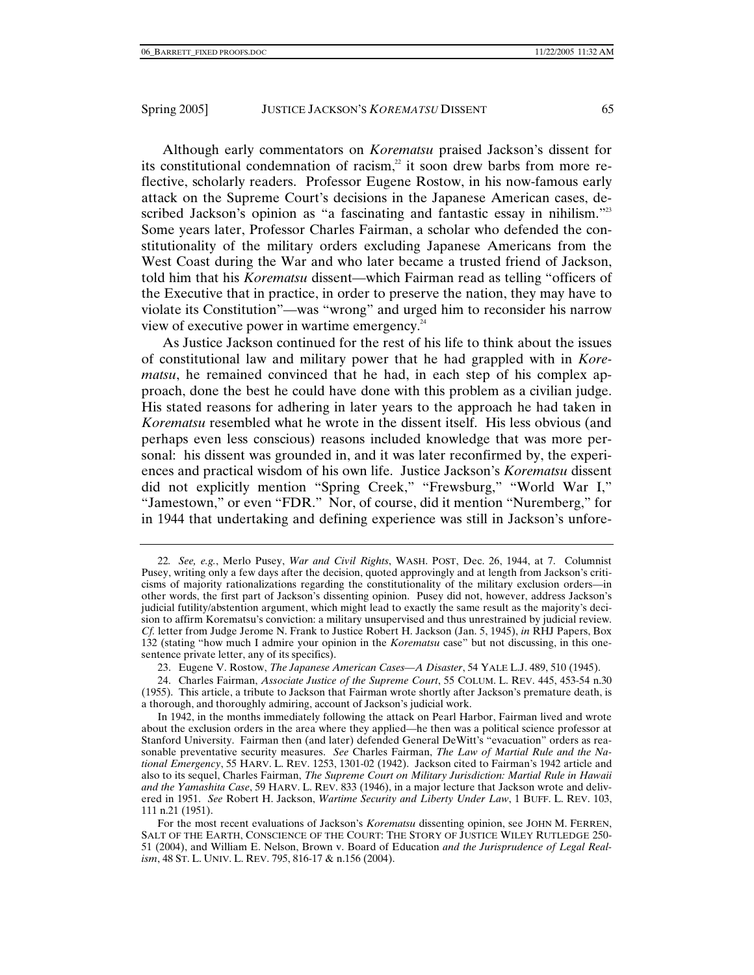Although early commentators on *Korematsu* praised Jackson's dissent for its constitutional condemnation of racism, $2$  it soon drew barbs from more reflective, scholarly readers. Professor Eugene Rostow, in his now-famous early attack on the Supreme Court's decisions in the Japanese American cases, described Jackson's opinion as "a fascinating and fantastic essay in nihilism."<sup>23</sup> Some years later, Professor Charles Fairman, a scholar who defended the constitutionality of the military orders excluding Japanese Americans from the West Coast during the War and who later became a trusted friend of Jackson, told him that his *Korematsu* dissent—which Fairman read as telling "officers of the Executive that in practice, in order to preserve the nation, they may have to violate its Constitution"—was "wrong" and urged him to reconsider his narrow view of executive power in wartime emergency.24

As Justice Jackson continued for the rest of his life to think about the issues of constitutional law and military power that he had grappled with in *Korematsu*, he remained convinced that he had, in each step of his complex approach, done the best he could have done with this problem as a civilian judge. His stated reasons for adhering in later years to the approach he had taken in *Korematsu* resembled what he wrote in the dissent itself. His less obvious (and perhaps even less conscious) reasons included knowledge that was more personal: his dissent was grounded in, and it was later reconfirmed by, the experiences and practical wisdom of his own life. Justice Jackson's *Korematsu* dissent did not explicitly mention "Spring Creek," "Frewsburg," "World War I," "Jamestown," or even "FDR." Nor, of course, did it mention "Nuremberg," for in 1944 that undertaking and defining experience was still in Jackson's unfore-

<sup>22</sup>*. See, e.g.*, Merlo Pusey, *War and Civil Rights*, WASH. POST, Dec. 26, 1944, at 7. Columnist Pusey, writing only a few days after the decision, quoted approvingly and at length from Jackson's criticisms of majority rationalizations regarding the constitutionality of the military exclusion orders—in other words, the first part of Jackson's dissenting opinion. Pusey did not, however, address Jackson's judicial futility/abstention argument, which might lead to exactly the same result as the majority's decision to affirm Korematsu's conviction: a military unsupervised and thus unrestrained by judicial review. *Cf.* letter from Judge Jerome N. Frank to Justice Robert H. Jackson (Jan. 5, 1945), *in* RHJ Papers, Box 132 (stating "how much I admire your opinion in the *Korematsu* case" but not discussing, in this onesentence private letter, any of its specifics).

 <sup>23.</sup> Eugene V. Rostow, *The Japanese American Cases—A Disaster*, 54 YALE L.J. 489, 510 (1945).

 <sup>24.</sup> Charles Fairman, *Associate Justice of the Supreme Court*, 55 COLUM. L. REV. 445, 453-54 n.30 (1955). This article, a tribute to Jackson that Fairman wrote shortly after Jackson's premature death, is a thorough, and thoroughly admiring, account of Jackson's judicial work.

In 1942, in the months immediately following the attack on Pearl Harbor, Fairman lived and wrote about the exclusion orders in the area where they applied—he then was a political science professor at Stanford University. Fairman then (and later) defended General DeWitt's "evacuation" orders as reasonable preventative security measures. *See* Charles Fairman, *The Law of Martial Rule and the National Emergency*, 55 HARV. L. REV. 1253, 1301-02 (1942). Jackson cited to Fairman's 1942 article and also to its sequel, Charles Fairman, *The Supreme Court on Military Jurisdiction: Martial Rule in Hawaii and the Yamashita Case*, 59 HARV. L. REV. 833 (1946), in a major lecture that Jackson wrote and delivered in 1951. *See* Robert H. Jackson, *Wartime Security and Liberty Under Law*, 1 BUFF. L. REV. 103, 111 n.21 (1951).

For the most recent evaluations of Jackson's *Korematsu* dissenting opinion, see JOHN M. FERREN, SALT OF THE EARTH, CONSCIENCE OF THE COURT: THE STORY OF JUSTICE WILEY RUTLEDGE 250- 51 (2004), and William E. Nelson, Brown v. Board of Education *and the Jurisprudence of Legal Realism*, 48 ST. L. UNIV. L. REV. 795, 816-17 & n.156 (2004).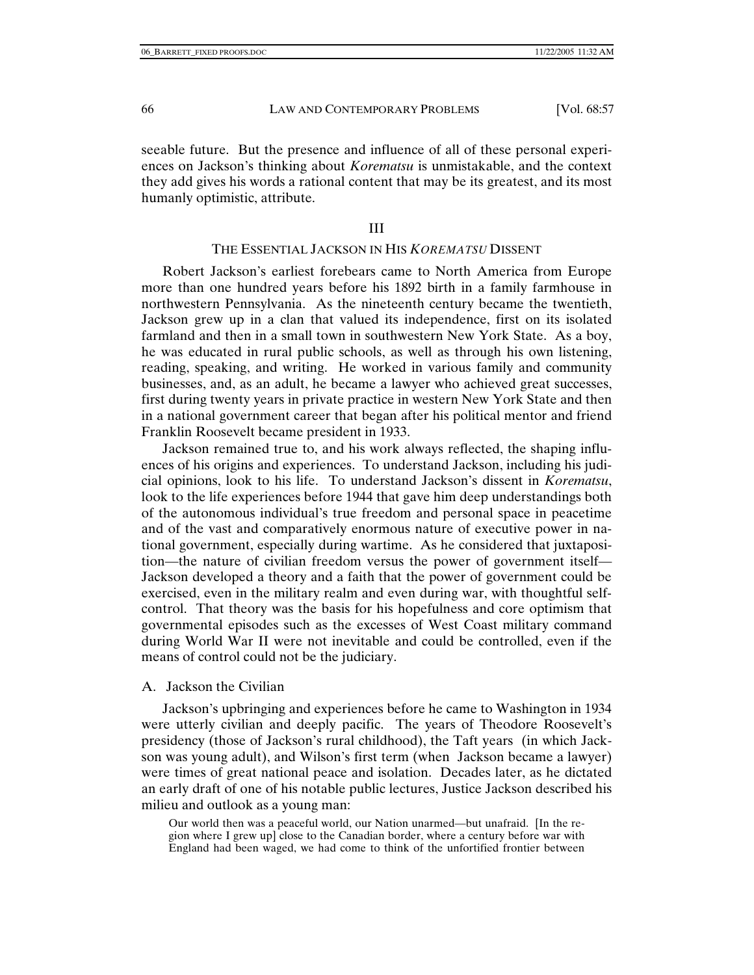seeable future. But the presence and influence of all of these personal experiences on Jackson's thinking about *Korematsu* is unmistakable, and the context they add gives his words a rational content that may be its greatest, and its most humanly optimistic, attribute.

#### III

## THE ESSENTIAL JACKSON IN HIS *KOREMATSU* DISSENT

Robert Jackson's earliest forebears came to North America from Europe more than one hundred years before his 1892 birth in a family farmhouse in northwestern Pennsylvania. As the nineteenth century became the twentieth, Jackson grew up in a clan that valued its independence, first on its isolated farmland and then in a small town in southwestern New York State. As a boy, he was educated in rural public schools, as well as through his own listening, reading, speaking, and writing. He worked in various family and community businesses, and, as an adult, he became a lawyer who achieved great successes, first during twenty years in private practice in western New York State and then in a national government career that began after his political mentor and friend Franklin Roosevelt became president in 1933.

Jackson remained true to, and his work always reflected, the shaping influences of his origins and experiences. To understand Jackson, including his judicial opinions, look to his life. To understand Jackson's dissent in *Korematsu*, look to the life experiences before 1944 that gave him deep understandings both of the autonomous individual's true freedom and personal space in peacetime and of the vast and comparatively enormous nature of executive power in national government, especially during wartime. As he considered that juxtaposition—the nature of civilian freedom versus the power of government itself— Jackson developed a theory and a faith that the power of government could be exercised, even in the military realm and even during war, with thoughtful selfcontrol. That theory was the basis for his hopefulness and core optimism that governmental episodes such as the excesses of West Coast military command during World War II were not inevitable and could be controlled, even if the means of control could not be the judiciary.

#### A. Jackson the Civilian

Jackson's upbringing and experiences before he came to Washington in 1934 were utterly civilian and deeply pacific. The years of Theodore Roosevelt's presidency (those of Jackson's rural childhood), the Taft years (in which Jackson was young adult), and Wilson's first term (when Jackson became a lawyer) were times of great national peace and isolation. Decades later, as he dictated an early draft of one of his notable public lectures, Justice Jackson described his milieu and outlook as a young man:

Our world then was a peaceful world, our Nation unarmed—but unafraid. [In the region where I grew up] close to the Canadian border, where a century before war with England had been waged, we had come to think of the unfortified frontier between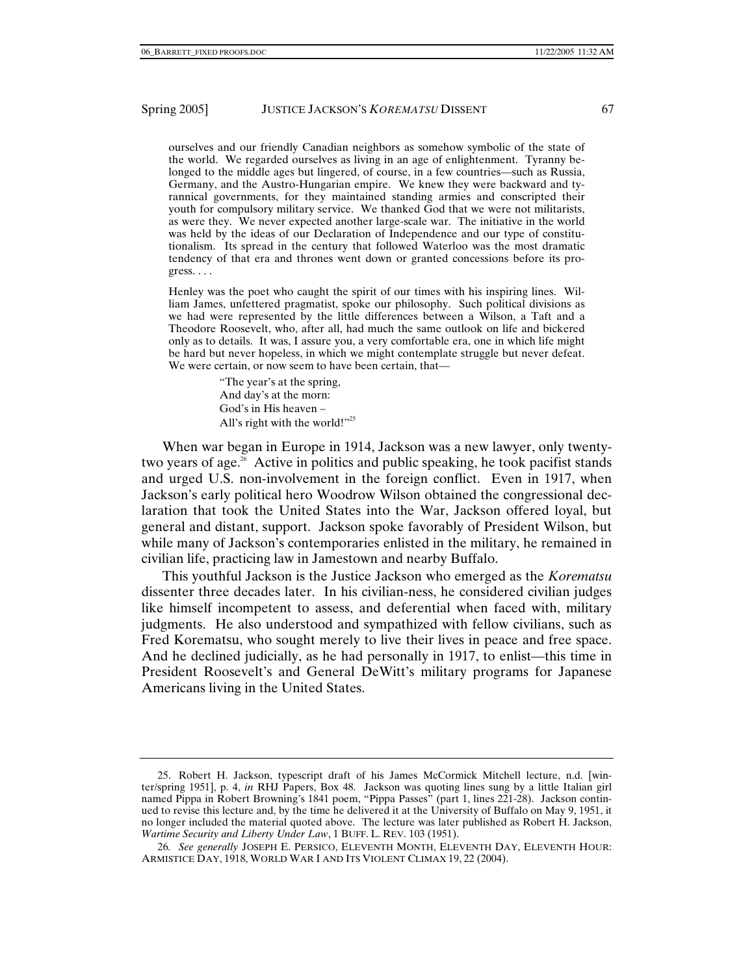ourselves and our friendly Canadian neighbors as somehow symbolic of the state of the world. We regarded ourselves as living in an age of enlightenment. Tyranny belonged to the middle ages but lingered, of course, in a few countries—such as Russia, Germany, and the Austro-Hungarian empire. We knew they were backward and tyrannical governments, for they maintained standing armies and conscripted their youth for compulsory military service. We thanked God that we were not militarists, as were they. We never expected another large-scale war. The initiative in the world was held by the ideas of our Declaration of Independence and our type of constitutionalism. Its spread in the century that followed Waterloo was the most dramatic tendency of that era and thrones went down or granted concessions before its pro $gress. \ldots$ 

Henley was the poet who caught the spirit of our times with his inspiring lines. William James, unfettered pragmatist, spoke our philosophy. Such political divisions as we had were represented by the little differences between a Wilson, a Taft and a Theodore Roosevelt, who, after all, had much the same outlook on life and bickered only as to details. It was, I assure you, a very comfortable era, one in which life might be hard but never hopeless, in which we might contemplate struggle but never defeat. We were certain, or now seem to have been certain, that—

> "The year's at the spring, And day's at the morn: God's in His heaven – All's right with the world!"<sup>25</sup>

When war began in Europe in 1914, Jackson was a new lawyer, only twentytwo years of age.<sup>26</sup> Active in politics and public speaking, he took pacifist stands and urged U.S. non-involvement in the foreign conflict. Even in 1917, when Jackson's early political hero Woodrow Wilson obtained the congressional declaration that took the United States into the War, Jackson offered loyal, but general and distant, support. Jackson spoke favorably of President Wilson, but while many of Jackson's contemporaries enlisted in the military, he remained in civilian life, practicing law in Jamestown and nearby Buffalo.

This youthful Jackson is the Justice Jackson who emerged as the *Korematsu* dissenter three decades later. In his civilian-ness, he considered civilian judges like himself incompetent to assess, and deferential when faced with, military judgments. He also understood and sympathized with fellow civilians, such as Fred Korematsu, who sought merely to live their lives in peace and free space. And he declined judicially, as he had personally in 1917, to enlist—this time in President Roosevelt's and General DeWitt's military programs for Japanese Americans living in the United States.

 <sup>25.</sup> Robert H. Jackson, typescript draft of his James McCormick Mitchell lecture, n.d. [winter/spring 1951], p. 4, *in* RHJ Papers, Box 48. Jackson was quoting lines sung by a little Italian girl named Pippa in Robert Browning's 1841 poem, "Pippa Passes" (part 1, lines 221-28). Jackson continued to revise this lecture and, by the time he delivered it at the University of Buffalo on May 9, 1951, it no longer included the material quoted above. The lecture was later published as Robert H. Jackson, *Wartime Security and Liberty Under Law*, 1 BUFF. L. REV. 103 (1951).

<sup>26</sup>*. See generally* JOSEPH E. PERSICO, ELEVENTH MONTH, ELEVENTH DAY, ELEVENTH HOUR: ARMISTICE DAY, 1918, WORLD WAR I AND ITS VIOLENT CLIMAX 19, 22 (2004).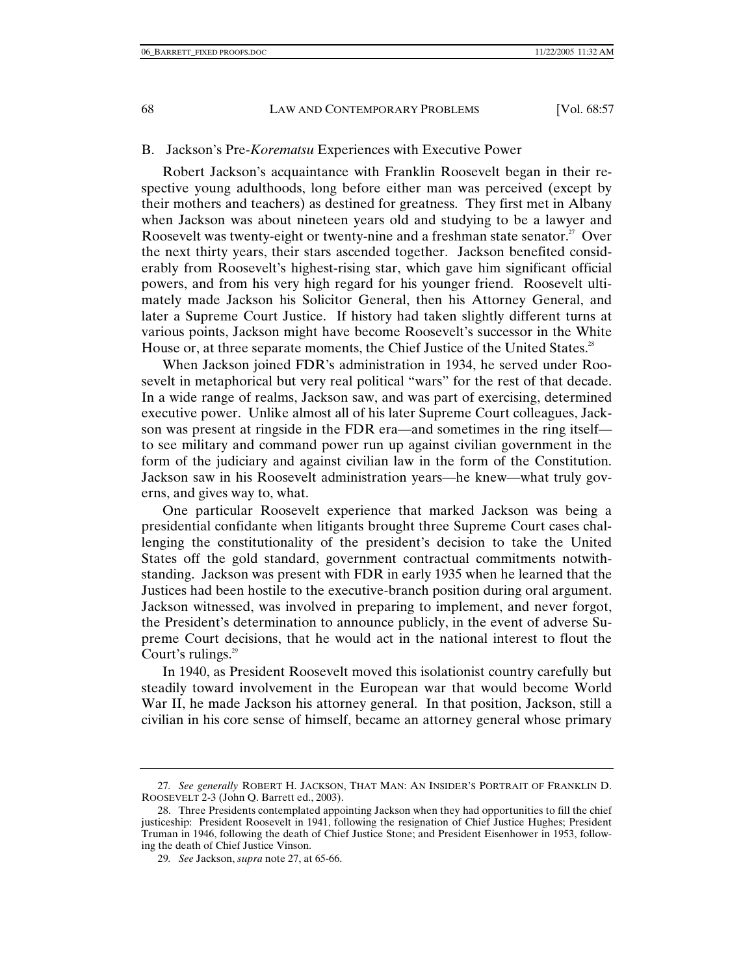#### B. Jackson's Pre-*Korematsu* Experiences with Executive Power

Robert Jackson's acquaintance with Franklin Roosevelt began in their respective young adulthoods, long before either man was perceived (except by their mothers and teachers) as destined for greatness. They first met in Albany when Jackson was about nineteen years old and studying to be a lawyer and Roosevelt was twenty-eight or twenty-nine and a freshman state senator.<sup>27</sup> Over the next thirty years, their stars ascended together. Jackson benefited considerably from Roosevelt's highest-rising star, which gave him significant official powers, and from his very high regard for his younger friend. Roosevelt ultimately made Jackson his Solicitor General, then his Attorney General, and later a Supreme Court Justice. If history had taken slightly different turns at various points, Jackson might have become Roosevelt's successor in the White House or, at three separate moments, the Chief Justice of the United States.<sup>28</sup>

When Jackson joined FDR's administration in 1934, he served under Roosevelt in metaphorical but very real political "wars" for the rest of that decade. In a wide range of realms, Jackson saw, and was part of exercising, determined executive power. Unlike almost all of his later Supreme Court colleagues, Jackson was present at ringside in the FDR era—and sometimes in the ring itself to see military and command power run up against civilian government in the form of the judiciary and against civilian law in the form of the Constitution. Jackson saw in his Roosevelt administration years—he knew—what truly governs, and gives way to, what.

One particular Roosevelt experience that marked Jackson was being a presidential confidante when litigants brought three Supreme Court cases challenging the constitutionality of the president's decision to take the United States off the gold standard, government contractual commitments notwithstanding. Jackson was present with FDR in early 1935 when he learned that the Justices had been hostile to the executive-branch position during oral argument. Jackson witnessed, was involved in preparing to implement, and never forgot, the President's determination to announce publicly, in the event of adverse Supreme Court decisions, that he would act in the national interest to flout the Court's rulings. $29$ 

In 1940, as President Roosevelt moved this isolationist country carefully but steadily toward involvement in the European war that would become World War II, he made Jackson his attorney general. In that position, Jackson, still a civilian in his core sense of himself, became an attorney general whose primary

<sup>27</sup>*. See generally* ROBERT H. JACKSON, THAT MAN: AN INSIDER'S PORTRAIT OF FRANKLIN D. ROOSEVELT 2-3 (John Q. Barrett ed., 2003).

 <sup>28.</sup> Three Presidents contemplated appointing Jackson when they had opportunities to fill the chief justiceship: President Roosevelt in 1941, following the resignation of Chief Justice Hughes; President Truman in 1946, following the death of Chief Justice Stone; and President Eisenhower in 1953, following the death of Chief Justice Vinson.

<sup>29</sup>*. See* Jackson, *supra* note 27, at 65-66.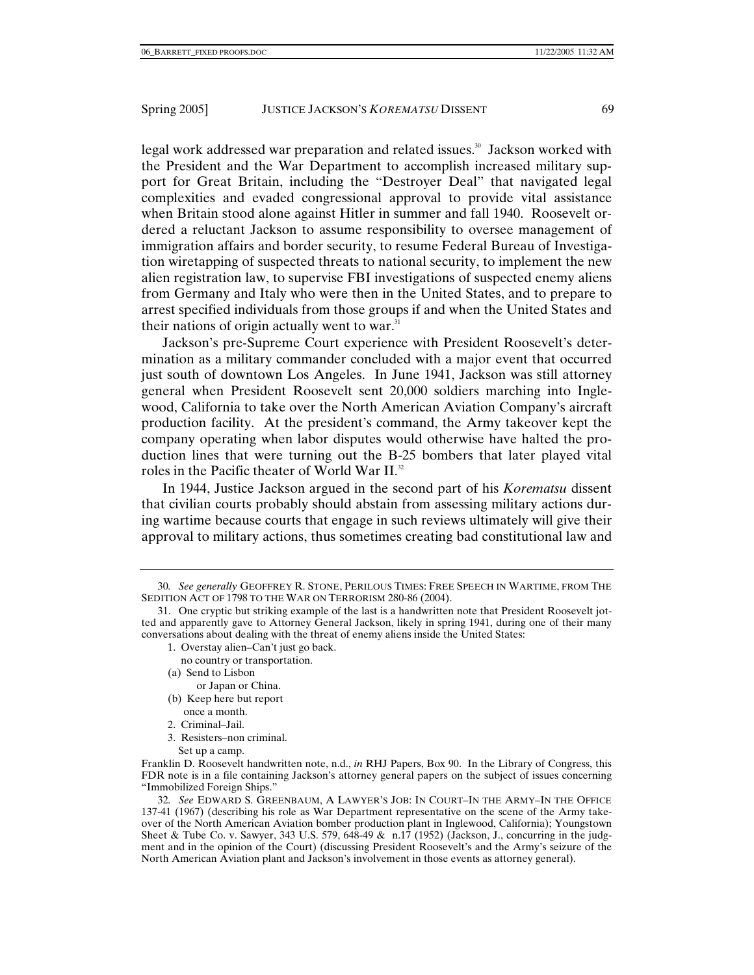legal work addressed war preparation and related issues.<sup>30</sup> Jackson worked with the President and the War Department to accomplish increased military support for Great Britain, including the "Destroyer Deal" that navigated legal complexities and evaded congressional approval to provide vital assistance when Britain stood alone against Hitler in summer and fall 1940. Roosevelt ordered a reluctant Jackson to assume responsibility to oversee management of immigration affairs and border security, to resume Federal Bureau of Investigation wiretapping of suspected threats to national security, to implement the new alien registration law, to supervise FBI investigations of suspected enemy aliens from Germany and Italy who were then in the United States, and to prepare to arrest specified individuals from those groups if and when the United States and their nations of origin actually went to war. $31$ 

Jackson's pre-Supreme Court experience with President Roosevelt's determination as a military commander concluded with a major event that occurred just south of downtown Los Angeles. In June 1941, Jackson was still attorney general when President Roosevelt sent 20,000 soldiers marching into Inglewood, California to take over the North American Aviation Company's aircraft production facility. At the president's command, the Army takeover kept the company operating when labor disputes would otherwise have halted the production lines that were turning out the B-25 bombers that later played vital roles in the Pacific theater of World War II.<sup>32</sup>

In 1944, Justice Jackson argued in the second part of his *Korematsu* dissent that civilian courts probably should abstain from assessing military actions during wartime because courts that engage in such reviews ultimately will give their approval to military actions, thus sometimes creating bad constitutional law and

- 1. Overstay alien–Can't just go back.
- no country or transportation.
- (a) Send to Lisbon

or Japan or China.

- (b) Keep here but report once a month.
- 2. Criminal–Jail.
- 3. Resisters–non criminal.
	- Set up a camp.

32*. See* EDWARD S. GREENBAUM, A LAWYER'S JOB: IN COURT–IN THE ARMY–IN THE OFFICE 137-41 (1967) (describing his role as War Department representative on the scene of the Army takeover of the North American Aviation bomber production plant in Inglewood, California); Youngstown Sheet & Tube Co. v. Sawyer, 343 U.S. 579, 648-49 & n.17 (1952) (Jackson, J., concurring in the judgment and in the opinion of the Court) (discussing President Roosevelt's and the Army's seizure of the North American Aviation plant and Jackson's involvement in those events as attorney general).

<sup>30</sup>*. See generally* GEOFFREY R. STONE, PERILOUS TIMES: FREE SPEECH IN WARTIME, FROM THE SEDITION ACT OF 1798 TO THE WAR ON TERRORISM 280-86 (2004).

 <sup>31.</sup> One cryptic but striking example of the last is a handwritten note that President Roosevelt jotted and apparently gave to Attorney General Jackson, likely in spring 1941, during one of their many conversations about dealing with the threat of enemy aliens inside the United States:

Franklin D. Roosevelt handwritten note, n.d., *in* RHJ Papers, Box 90. In the Library of Congress, this FDR note is in a file containing Jackson's attorney general papers on the subject of issues concerning "Immobilized Foreign Ships."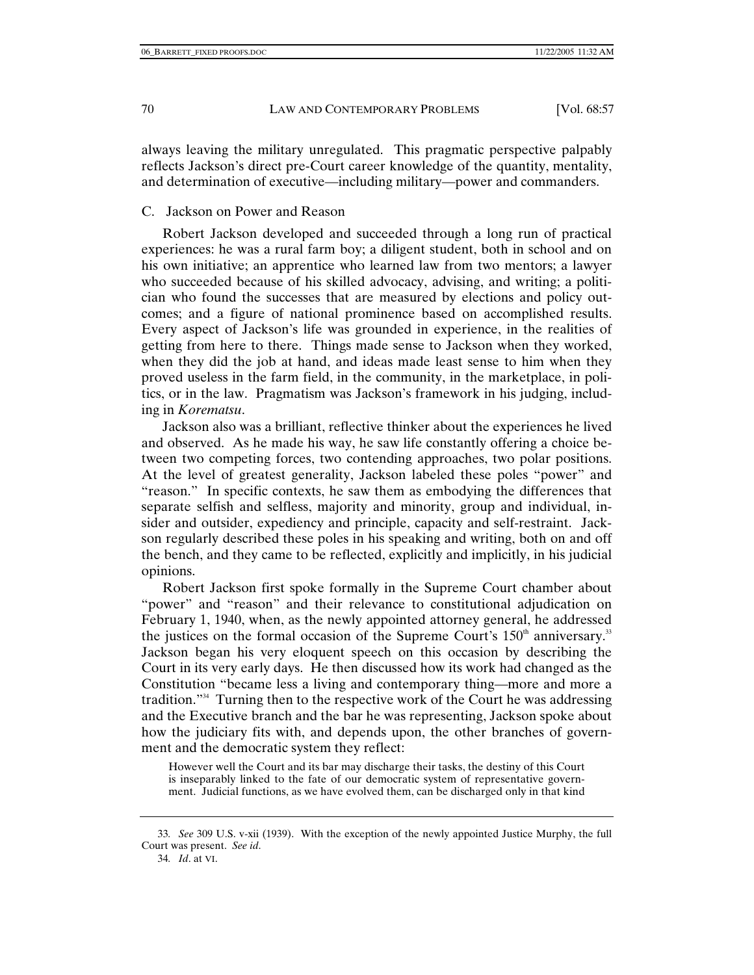always leaving the military unregulated. This pragmatic perspective palpably reflects Jackson's direct pre-Court career knowledge of the quantity, mentality, and determination of executive—including military—power and commanders.

## C. Jackson on Power and Reason

Robert Jackson developed and succeeded through a long run of practical experiences: he was a rural farm boy; a diligent student, both in school and on his own initiative; an apprentice who learned law from two mentors; a lawyer who succeeded because of his skilled advocacy, advising, and writing; a politician who found the successes that are measured by elections and policy outcomes; and a figure of national prominence based on accomplished results. Every aspect of Jackson's life was grounded in experience, in the realities of getting from here to there. Things made sense to Jackson when they worked, when they did the job at hand, and ideas made least sense to him when they proved useless in the farm field, in the community, in the marketplace, in politics, or in the law. Pragmatism was Jackson's framework in his judging, including in *Korematsu*.

Jackson also was a brilliant, reflective thinker about the experiences he lived and observed. As he made his way, he saw life constantly offering a choice between two competing forces, two contending approaches, two polar positions. At the level of greatest generality, Jackson labeled these poles "power" and "reason." In specific contexts, he saw them as embodying the differences that separate selfish and selfless, majority and minority, group and individual, insider and outsider, expediency and principle, capacity and self-restraint. Jackson regularly described these poles in his speaking and writing, both on and off the bench, and they came to be reflected, explicitly and implicitly, in his judicial opinions.

Robert Jackson first spoke formally in the Supreme Court chamber about "power" and "reason" and their relevance to constitutional adjudication on February 1, 1940, when, as the newly appointed attorney general, he addressed the justices on the formal occasion of the Supreme Court's  $150<sup>th</sup>$  anniversary.<sup>33</sup> Jackson began his very eloquent speech on this occasion by describing the Court in its very early days. He then discussed how its work had changed as the Constitution "became less a living and contemporary thing—more and more a tradition."34 Turning then to the respective work of the Court he was addressing and the Executive branch and the bar he was representing, Jackson spoke about how the judiciary fits with, and depends upon, the other branches of government and the democratic system they reflect:

However well the Court and its bar may discharge their tasks, the destiny of this Court is inseparably linked to the fate of our democratic system of representative government. Judicial functions, as we have evolved them, can be discharged only in that kind

<sup>33</sup>*. See* 309 U.S. v-xii (1939). With the exception of the newly appointed Justice Murphy, the full Court was present. *See id*.

<sup>34</sup>*. Id*. at VI.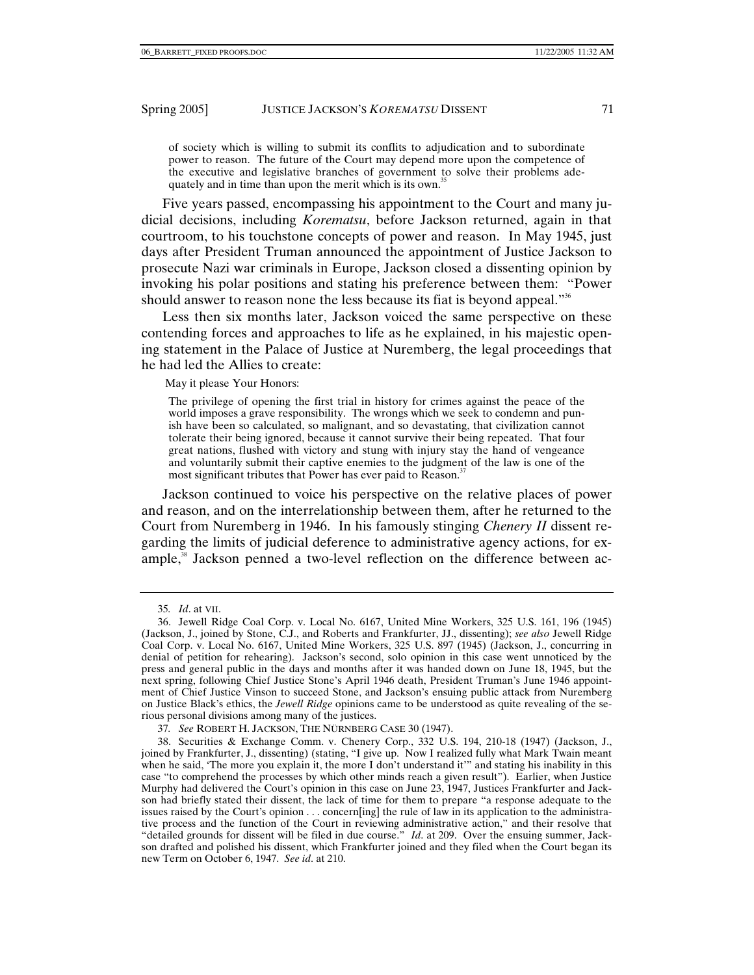of society which is willing to submit its conflits to adjudication and to subordinate power to reason. The future of the Court may depend more upon the competence of the executive and legislative branches of government to solve their problems adequately and in time than upon the merit which is its own.<sup>3</sup>

Five years passed, encompassing his appointment to the Court and many judicial decisions, including *Korematsu*, before Jackson returned, again in that courtroom, to his touchstone concepts of power and reason. In May 1945, just days after President Truman announced the appointment of Justice Jackson to prosecute Nazi war criminals in Europe, Jackson closed a dissenting opinion by invoking his polar positions and stating his preference between them: "Power should answer to reason none the less because its fiat is beyond appeal."<sup>36</sup>

Less then six months later, Jackson voiced the same perspective on these contending forces and approaches to life as he explained, in his majestic opening statement in the Palace of Justice at Nuremberg, the legal proceedings that he had led the Allies to create:

May it please Your Honors:

The privilege of opening the first trial in history for crimes against the peace of the world imposes a grave responsibility. The wrongs which we seek to condemn and punish have been so calculated, so malignant, and so devastating, that civilization cannot tolerate their being ignored, because it cannot survive their being repeated. That four great nations, flushed with victory and stung with injury stay the hand of vengeance and voluntarily submit their captive enemies to the judgment of the law is one of the most significant tributes that Power has ever paid to Reason.<sup>3</sup>

Jackson continued to voice his perspective on the relative places of power and reason, and on the interrelationship between them, after he returned to the Court from Nuremberg in 1946. In his famously stinging *Chenery II* dissent regarding the limits of judicial deference to administrative agency actions, for example,<sup>38</sup> Jackson penned a two-level reflection on the difference between ac-

37*. See* ROBERT H. JACKSON, THE NÜRNBERG CASE 30 (1947).

<sup>35</sup>*. Id*. at VII.

 <sup>36.</sup> Jewell Ridge Coal Corp. v. Local No. 6167, United Mine Workers, 325 U.S. 161, 196 (1945) (Jackson, J., joined by Stone, C.J., and Roberts and Frankfurter, JJ., dissenting); *see also* Jewell Ridge Coal Corp. v. Local No. 6167, United Mine Workers, 325 U.S. 897 (1945) (Jackson, J., concurring in denial of petition for rehearing). Jackson's second, solo opinion in this case went unnoticed by the press and general public in the days and months after it was handed down on June 18, 1945, but the next spring, following Chief Justice Stone's April 1946 death, President Truman's June 1946 appointment of Chief Justice Vinson to succeed Stone, and Jackson's ensuing public attack from Nuremberg on Justice Black's ethics, the *Jewell Ridge* opinions came to be understood as quite revealing of the serious personal divisions among many of the justices.

 <sup>38.</sup> Securities & Exchange Comm. v. Chenery Corp., 332 U.S. 194, 210-18 (1947) (Jackson, J., joined by Frankfurter, J., dissenting) (stating, "I give up. Now I realized fully what Mark Twain meant when he said, 'The more you explain it, the more I don't understand it'" and stating his inability in this case "to comprehend the processes by which other minds reach a given result"). Earlier, when Justice Murphy had delivered the Court's opinion in this case on June 23, 1947, Justices Frankfurter and Jackson had briefly stated their dissent, the lack of time for them to prepare "a response adequate to the issues raised by the Court's opinion . . . concern[ing] the rule of law in its application to the administrative process and the function of the Court in reviewing administrative action," and their resolve that "detailed grounds for dissent will be filed in due course." *Id*. at 209. Over the ensuing summer, Jackson drafted and polished his dissent, which Frankfurter joined and they filed when the Court began its new Term on October 6, 1947. *See id*. at 210.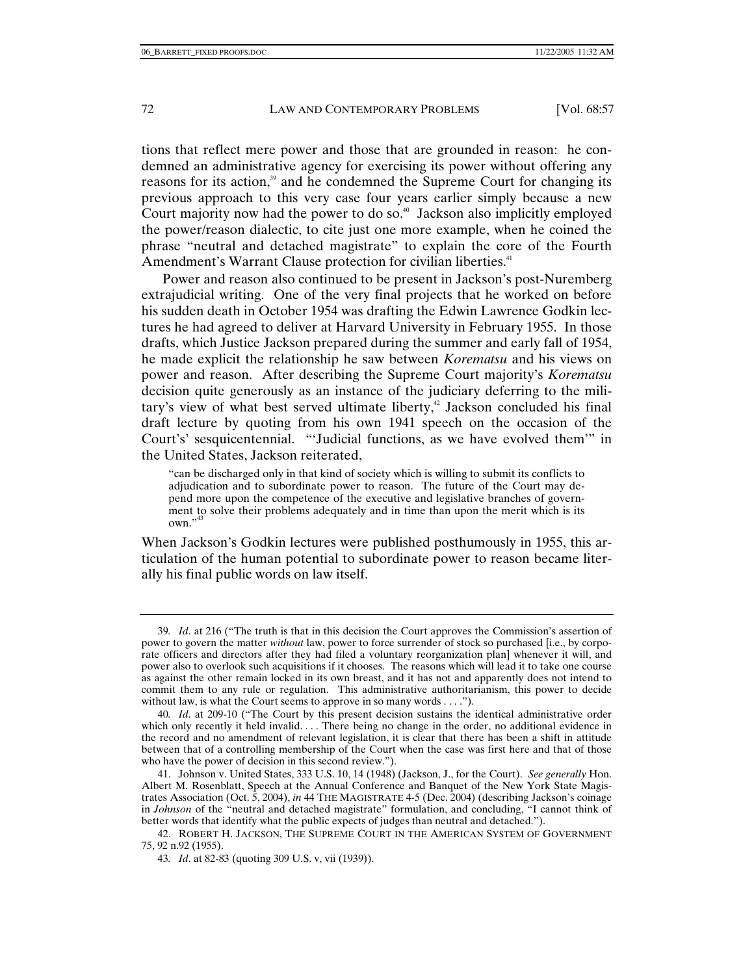tions that reflect mere power and those that are grounded in reason: he condemned an administrative agency for exercising its power without offering any reasons for its action,<sup>39</sup> and he condemned the Supreme Court for changing its previous approach to this very case four years earlier simply because a new Court majority now had the power to do so. $40$  Jackson also implicitly employed the power/reason dialectic, to cite just one more example, when he coined the phrase "neutral and detached magistrate" to explain the core of the Fourth Amendment's Warrant Clause protection for civilian liberties.<sup>41</sup>

Power and reason also continued to be present in Jackson's post-Nuremberg extrajudicial writing. One of the very final projects that he worked on before his sudden death in October 1954 was drafting the Edwin Lawrence Godkin lectures he had agreed to deliver at Harvard University in February 1955. In those drafts, which Justice Jackson prepared during the summer and early fall of 1954, he made explicit the relationship he saw between *Korematsu* and his views on power and reason. After describing the Supreme Court majority's *Korematsu* decision quite generously as an instance of the judiciary deferring to the military's view of what best served ultimate liberty, $42$  Jackson concluded his final draft lecture by quoting from his own 1941 speech on the occasion of the Court's' sesquicentennial. "'Judicial functions, as we have evolved them'" in the United States, Jackson reiterated,

"can be discharged only in that kind of society which is willing to submit its conflicts to adjudication and to subordinate power to reason. The future of the Court may depend more upon the competence of the executive and legislative branches of government to solve their problems adequately and in time than upon the merit which is its own."<sup>43</sup>

When Jackson's Godkin lectures were published posthumously in 1955, this articulation of the human potential to subordinate power to reason became literally his final public words on law itself.

<sup>39</sup>*. Id*. at 216 ("The truth is that in this decision the Court approves the Commission's assertion of power to govern the matter *without* law, power to force surrender of stock so purchased [i.e., by corporate officers and directors after they had filed a voluntary reorganization plan] whenever it will, and power also to overlook such acquisitions if it chooses. The reasons which will lead it to take one course as against the other remain locked in its own breast, and it has not and apparently does not intend to commit them to any rule or regulation. This administrative authoritarianism, this power to decide without law, is what the Court seems to approve in so many words . . . .").

<sup>40</sup>*. Id*. at 209-10 ("The Court by this present decision sustains the identical administrative order which only recently it held invalid. . . . There being no change in the order, no additional evidence in the record and no amendment of relevant legislation, it is clear that there has been a shift in attitude between that of a controlling membership of the Court when the case was first here and that of those who have the power of decision in this second review.").

 <sup>41.</sup> Johnson v. United States, 333 U.S. 10, 14 (1948) (Jackson, J., for the Court). *See generally* Hon. Albert M. Rosenblatt, Speech at the Annual Conference and Banquet of the New York State Magistrates Association (Oct. 5, 2004), *in* 44 THE MAGISTRATE 4-5 (Dec. 2004) (describing Jackson's coinage in *Johnson* of the "neutral and detached magistrate" formulation, and concluding, "I cannot think of better words that identify what the public expects of judges than neutral and detached.").

 <sup>42.</sup> ROBERT H. JACKSON, THE SUPREME COURT IN THE AMERICAN SYSTEM OF GOVERNMENT 75, 92 n.92 (1955).

<sup>43</sup>*. Id*. at 82-83 (quoting 309 U.S. v, vii (1939)).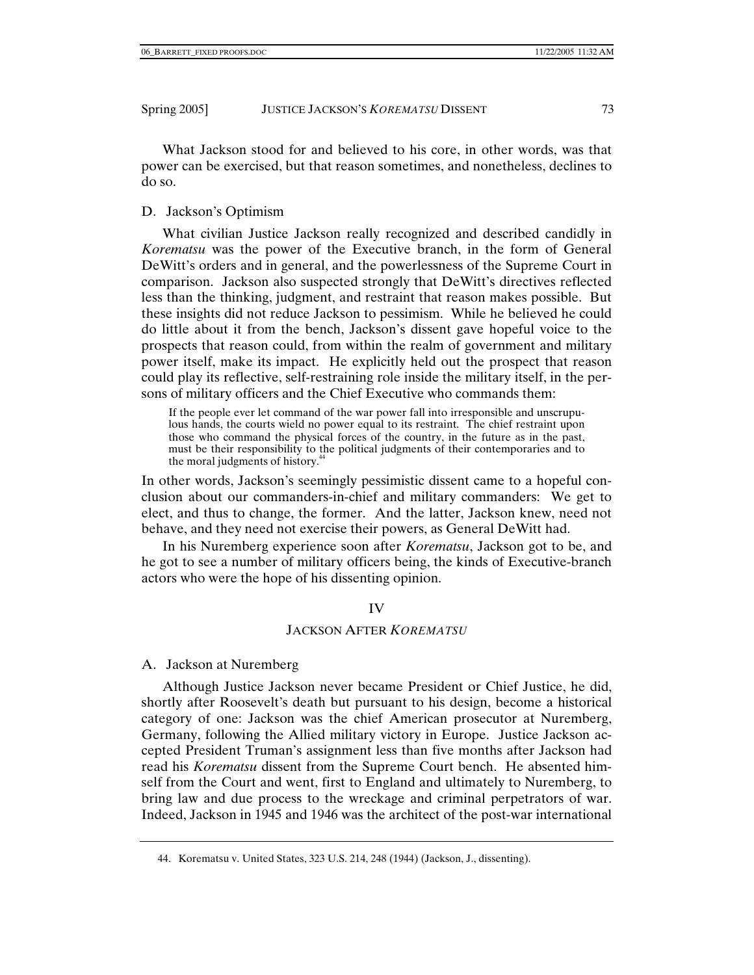What Jackson stood for and believed to his core, in other words, was that power can be exercised, but that reason sometimes, and nonetheless, declines to do so.

# D. Jackson's Optimism

What civilian Justice Jackson really recognized and described candidly in *Korematsu* was the power of the Executive branch, in the form of General DeWitt's orders and in general, and the powerlessness of the Supreme Court in comparison. Jackson also suspected strongly that DeWitt's directives reflected less than the thinking, judgment, and restraint that reason makes possible. But these insights did not reduce Jackson to pessimism. While he believed he could do little about it from the bench, Jackson's dissent gave hopeful voice to the prospects that reason could, from within the realm of government and military power itself, make its impact. He explicitly held out the prospect that reason could play its reflective, self-restraining role inside the military itself, in the persons of military officers and the Chief Executive who commands them:

If the people ever let command of the war power fall into irresponsible and unscrupulous hands, the courts wield no power equal to its restraint. The chief restraint upon those who command the physical forces of the country, in the future as in the past, must be their responsibility to the political judgments of their contemporaries and to the moral judgments of history.<sup>44</sup>

In other words, Jackson's seemingly pessimistic dissent came to a hopeful conclusion about our commanders-in-chief and military commanders: We get to elect, and thus to change, the former. And the latter, Jackson knew, need not behave, and they need not exercise their powers, as General DeWitt had.

In his Nuremberg experience soon after *Korematsu*, Jackson got to be, and he got to see a number of military officers being, the kinds of Executive-branch actors who were the hope of his dissenting opinion.

## IV

## JACKSON AFTER *KOREMATSU*

## A. Jackson at Nuremberg

Although Justice Jackson never became President or Chief Justice, he did, shortly after Roosevelt's death but pursuant to his design, become a historical category of one: Jackson was the chief American prosecutor at Nuremberg, Germany, following the Allied military victory in Europe. Justice Jackson accepted President Truman's assignment less than five months after Jackson had read his *Korematsu* dissent from the Supreme Court bench. He absented himself from the Court and went, first to England and ultimately to Nuremberg, to bring law and due process to the wreckage and criminal perpetrators of war. Indeed, Jackson in 1945 and 1946 was the architect of the post-war international

 <sup>44.</sup> Korematsu v. United States, 323 U.S. 214, 248 (1944) (Jackson, J., dissenting).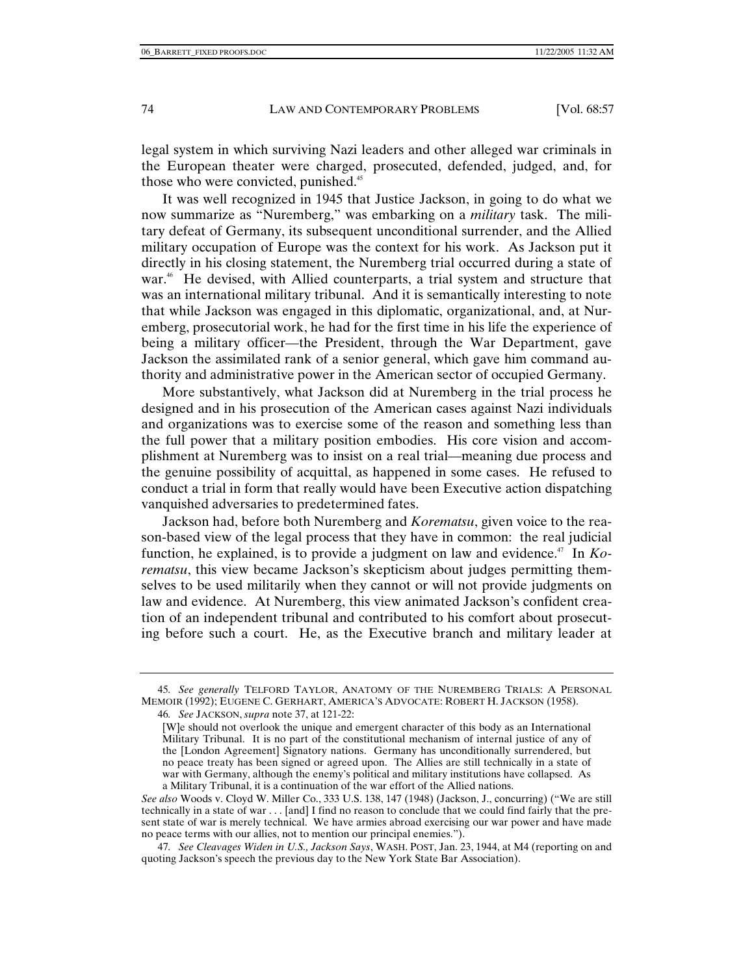legal system in which surviving Nazi leaders and other alleged war criminals in the European theater were charged, prosecuted, defended, judged, and, for those who were convicted, punished.<sup>45</sup>

It was well recognized in 1945 that Justice Jackson, in going to do what we now summarize as "Nuremberg," was embarking on a *military* task. The military defeat of Germany, its subsequent unconditional surrender, and the Allied military occupation of Europe was the context for his work. As Jackson put it directly in his closing statement, the Nuremberg trial occurred during a state of war.<sup>46</sup> He devised, with Allied counterparts, a trial system and structure that was an international military tribunal. And it is semantically interesting to note that while Jackson was engaged in this diplomatic, organizational, and, at Nuremberg, prosecutorial work, he had for the first time in his life the experience of being a military officer—the President, through the War Department, gave Jackson the assimilated rank of a senior general, which gave him command authority and administrative power in the American sector of occupied Germany.

More substantively, what Jackson did at Nuremberg in the trial process he designed and in his prosecution of the American cases against Nazi individuals and organizations was to exercise some of the reason and something less than the full power that a military position embodies. His core vision and accomplishment at Nuremberg was to insist on a real trial—meaning due process and the genuine possibility of acquittal, as happened in some cases. He refused to conduct a trial in form that really would have been Executive action dispatching vanquished adversaries to predetermined fates.

Jackson had, before both Nuremberg and *Korematsu*, given voice to the reason-based view of the legal process that they have in common: the real judicial function, he explained, is to provide a judgment on law and evidence.<sup>47</sup> In *Korematsu*, this view became Jackson's skepticism about judges permitting themselves to be used militarily when they cannot or will not provide judgments on law and evidence. At Nuremberg, this view animated Jackson's confident creation of an independent tribunal and contributed to his comfort about prosecuting before such a court. He, as the Executive branch and military leader at

46*. See* JACKSON, *supra* note 37, at 121-22:

<sup>45</sup>*. See generally* TELFORD TAYLOR, ANATOMY OF THE NUREMBERG TRIALS: A PERSONAL MEMOIR (1992); EUGENE C. GERHART, AMERICA'S ADVOCATE: ROBERT H. JACKSON (1958).

<sup>[</sup>W]e should not overlook the unique and emergent character of this body as an International Military Tribunal. It is no part of the constitutional mechanism of internal justice of any of the [London Agreement] Signatory nations. Germany has unconditionally surrendered, but no peace treaty has been signed or agreed upon. The Allies are still technically in a state of war with Germany, although the enemy's political and military institutions have collapsed. As a Military Tribunal, it is a continuation of the war effort of the Allied nations.

*See also* Woods v. Cloyd W. Miller Co., 333 U.S. 138, 147 (1948) (Jackson, J., concurring) ("We are still technically in a state of war . . . [and] I find no reason to conclude that we could find fairly that the present state of war is merely technical. We have armies abroad exercising our war power and have made no peace terms with our allies, not to mention our principal enemies.").

<sup>47</sup>*. See Cleavages Widen in U.S., Jackson Says*, WASH. POST, Jan. 23, 1944, at M4 (reporting on and quoting Jackson's speech the previous day to the New York State Bar Association).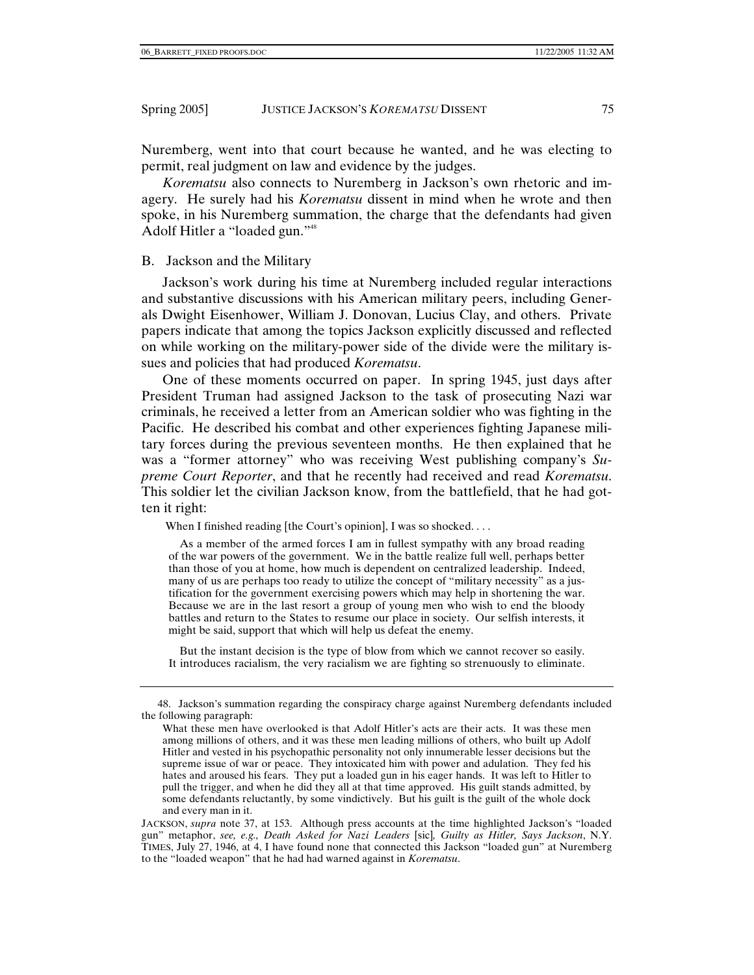Nuremberg, went into that court because he wanted, and he was electing to permit, real judgment on law and evidence by the judges.

*Korematsu* also connects to Nuremberg in Jackson's own rhetoric and imagery. He surely had his *Korematsu* dissent in mind when he wrote and then spoke, in his Nuremberg summation, the charge that the defendants had given Adolf Hitler a "loaded gun."48

#### B. Jackson and the Military

Jackson's work during his time at Nuremberg included regular interactions and substantive discussions with his American military peers, including Generals Dwight Eisenhower, William J. Donovan, Lucius Clay, and others. Private papers indicate that among the topics Jackson explicitly discussed and reflected on while working on the military-power side of the divide were the military issues and policies that had produced *Korematsu*.

One of these moments occurred on paper. In spring 1945, just days after President Truman had assigned Jackson to the task of prosecuting Nazi war criminals, he received a letter from an American soldier who was fighting in the Pacific. He described his combat and other experiences fighting Japanese military forces during the previous seventeen months. He then explained that he was a "former attorney" who was receiving West publishing company's *Supreme Court Reporter*, and that he recently had received and read *Korematsu*. This soldier let the civilian Jackson know, from the battlefield, that he had gotten it right:

When I finished reading [the Court's opinion], I was so shocked....

 As a member of the armed forces I am in fullest sympathy with any broad reading of the war powers of the government. We in the battle realize full well, perhaps better than those of you at home, how much is dependent on centralized leadership. Indeed, many of us are perhaps too ready to utilize the concept of "military necessity" as a justification for the government exercising powers which may help in shortening the war. Because we are in the last resort a group of young men who wish to end the bloody battles and return to the States to resume our place in society. Our selfish interests, it might be said, support that which will help us defeat the enemy.

 But the instant decision is the type of blow from which we cannot recover so easily. It introduces racialism, the very racialism we are fighting so strenuously to eliminate.

 <sup>48.</sup> Jackson's summation regarding the conspiracy charge against Nuremberg defendants included the following paragraph:

What these men have overlooked is that Adolf Hitler's acts are their acts. It was these men among millions of others, and it was these men leading millions of others, who built up Adolf Hitler and vested in his psychopathic personality not only innumerable lesser decisions but the supreme issue of war or peace. They intoxicated him with power and adulation. They fed his hates and aroused his fears. They put a loaded gun in his eager hands. It was left to Hitler to pull the trigger, and when he did they all at that time approved. His guilt stands admitted, by some defendants reluctantly, by some vindictively. But his guilt is the guilt of the whole dock and every man in it.

JACKSON, *supra* note 37, at 153. Although press accounts at the time highlighted Jackson's "loaded gun" metaphor, *see, e.g., Death Asked for Nazi Leaders* [sic]*, Guilty as Hitler, Says Jackson*, N.Y. TIMES, July 27, 1946, at 4, I have found none that connected this Jackson "loaded gun" at Nuremberg to the "loaded weapon" that he had had warned against in *Korematsu*.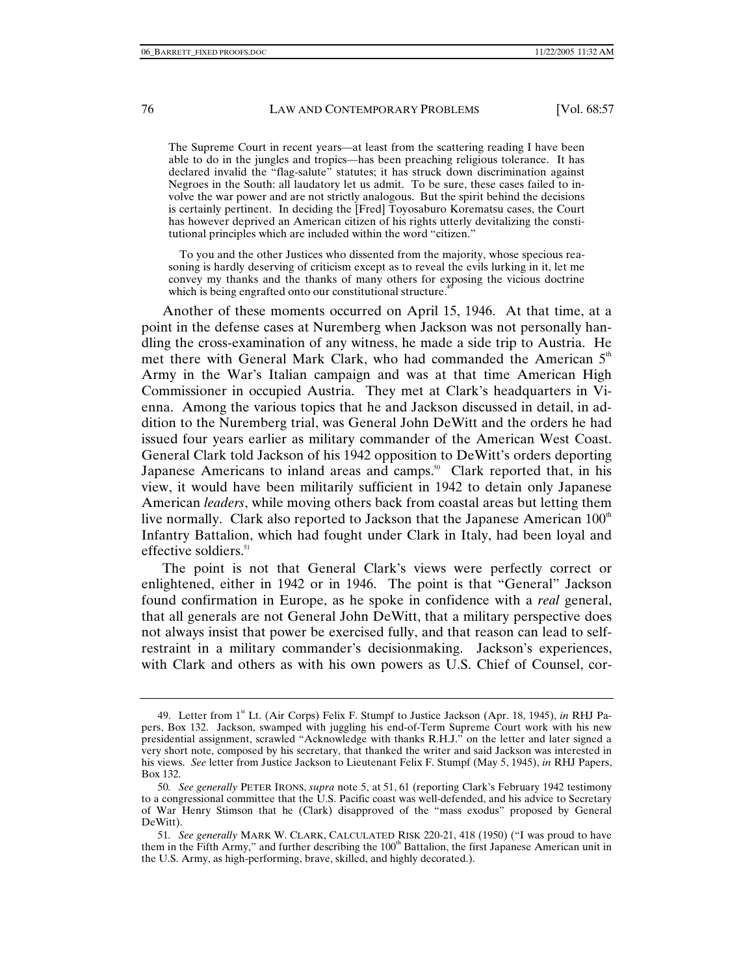The Supreme Court in recent years—at least from the scattering reading I have been able to do in the jungles and tropics—has been preaching religious tolerance. It has declared invalid the "flag-salute" statutes; it has struck down discrimination against Negroes in the South: all laudatory let us admit. To be sure, these cases failed to involve the war power and are not strictly analogous. But the spirit behind the decisions is certainly pertinent. In deciding the [Fred] Toyosaburo Korematsu cases, the Court has however deprived an American citizen of his rights utterly devitalizing the constitutional principles which are included within the word "citizen."

 To you and the other Justices who dissented from the majority, whose specious reasoning is hardly deserving of criticism except as to reveal the evils lurking in it, let me convey my thanks and the thanks of many others for exposing the vicious doctrine which is being engrafted onto our constitutional structure.<sup>4</sup>

Another of these moments occurred on April 15, 1946. At that time, at a point in the defense cases at Nuremberg when Jackson was not personally handling the cross-examination of any witness, he made a side trip to Austria. He met there with General Mark Clark, who had commanded the American  $5<sup>th</sup>$ Army in the War's Italian campaign and was at that time American High Commissioner in occupied Austria. They met at Clark's headquarters in Vienna. Among the various topics that he and Jackson discussed in detail, in addition to the Nuremberg trial, was General John DeWitt and the orders he had issued four years earlier as military commander of the American West Coast. General Clark told Jackson of his 1942 opposition to DeWitt's orders deporting Japanese Americans to inland areas and camps.<sup>50</sup> Clark reported that, in his view, it would have been militarily sufficient in 1942 to detain only Japanese American *leaders*, while moving others back from coastal areas but letting them live normally. Clark also reported to Jackson that the Japanese American  $100<sup>th</sup>$ Infantry Battalion, which had fought under Clark in Italy, had been loyal and effective soldiers.<sup>51</sup>

The point is not that General Clark's views were perfectly correct or enlightened, either in 1942 or in 1946. The point is that "General" Jackson found confirmation in Europe, as he spoke in confidence with a *real* general, that all generals are not General John DeWitt, that a military perspective does not always insist that power be exercised fully, and that reason can lead to selfrestraint in a military commander's decisionmaking. Jackson's experiences, with Clark and others as with his own powers as U.S. Chief of Counsel, cor-

<sup>49.</sup> Letter from 1<sup>st</sup> Lt. (Air Corps) Felix F. Stumpf to Justice Jackson (Apr. 18, 1945), *in* RHJ Papers, Box 132. Jackson, swamped with juggling his end-of-Term Supreme Court work with his new presidential assignment, scrawled "Acknowledge with thanks R.H.J." on the letter and later signed a very short note, composed by his secretary, that thanked the writer and said Jackson was interested in his views. *See* letter from Justice Jackson to Lieutenant Felix F. Stumpf (May 5, 1945), *in* RHJ Papers, Box 132.

<sup>50</sup>*. See generally* PETER IRONS, *supra* note 5, at 51, 61 (reporting Clark's February 1942 testimony to a congressional committee that the U.S. Pacific coast was well-defended, and his advice to Secretary of War Henry Stimson that he (Clark) disapproved of the "mass exodus" proposed by General DeWitt).

<sup>51</sup>*. See generally* MARK W. CLARK, CALCULATED RISK 220-21, 418 (1950) ("I was proud to have them in the Fifth Army," and further describing the 100<sup>th</sup> Battalion, the first Japanese American unit in the U.S. Army, as high-performing, brave, skilled, and highly decorated.).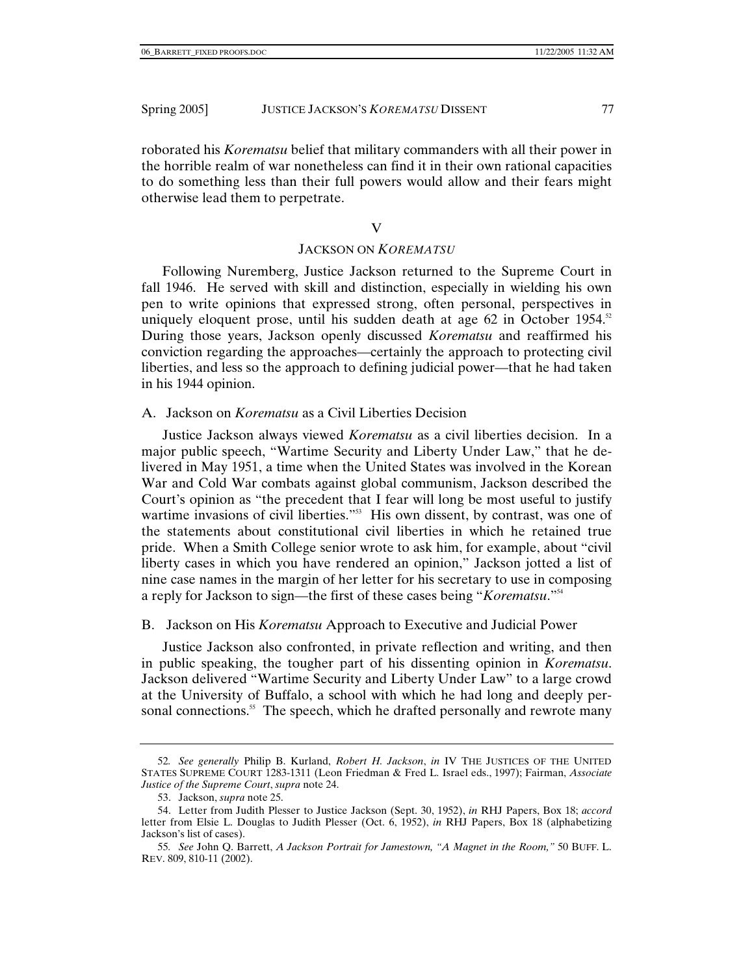roborated his *Korematsu* belief that military commanders with all their power in the horrible realm of war nonetheless can find it in their own rational capacities to do something less than their full powers would allow and their fears might otherwise lead them to perpetrate.

#### V

#### JACKSON ON *KOREMATSU*

Following Nuremberg, Justice Jackson returned to the Supreme Court in fall 1946. He served with skill and distinction, especially in wielding his own pen to write opinions that expressed strong, often personal, perspectives in uniquely eloquent prose, until his sudden death at age 62 in October 1954.<sup>52</sup> During those years, Jackson openly discussed *Korematsu* and reaffirmed his conviction regarding the approaches—certainly the approach to protecting civil liberties, and less so the approach to defining judicial power—that he had taken in his 1944 opinion.

A. Jackson on *Korematsu* as a Civil Liberties Decision

Justice Jackson always viewed *Korematsu* as a civil liberties decision. In a major public speech, "Wartime Security and Liberty Under Law," that he delivered in May 1951, a time when the United States was involved in the Korean War and Cold War combats against global communism, Jackson described the Court's opinion as "the precedent that I fear will long be most useful to justify wartime invasions of civil liberties."<sup>53</sup> His own dissent, by contrast, was one of the statements about constitutional civil liberties in which he retained true pride. When a Smith College senior wrote to ask him, for example, about "civil liberty cases in which you have rendered an opinion," Jackson jotted a list of nine case names in the margin of her letter for his secretary to use in composing a reply for Jackson to sign—the first of these cases being "*Korematsu*."54

## B. Jackson on His *Korematsu* Approach to Executive and Judicial Power

Justice Jackson also confronted, in private reflection and writing, and then in public speaking, the tougher part of his dissenting opinion in *Korematsu*. Jackson delivered "Wartime Security and Liberty Under Law" to a large crowd at the University of Buffalo, a school with which he had long and deeply personal connections.<sup>55</sup> The speech, which he drafted personally and rewrote many

<sup>52</sup>*. See generally* Philip B. Kurland, *Robert H. Jackson*, *in* IV THE JUSTICES OF THE UNITED STATES SUPREME COURT 1283-1311 (Leon Friedman & Fred L. Israel eds., 1997); Fairman, *Associate Justice of the Supreme Court*, *supra* note 24.

 <sup>53.</sup> Jackson, *supra* note 25.

 <sup>54.</sup> Letter from Judith Plesser to Justice Jackson (Sept. 30, 1952), *in* RHJ Papers, Box 18; *accord* letter from Elsie L. Douglas to Judith Plesser (Oct. 6, 1952), *in* RHJ Papers, Box 18 (alphabetizing Jackson's list of cases).

<sup>55</sup>*. See* John Q. Barrett, *A Jackson Portrait for Jamestown, "A Magnet in the Room,"* 50 BUFF. L. REV. 809, 810-11 (2002).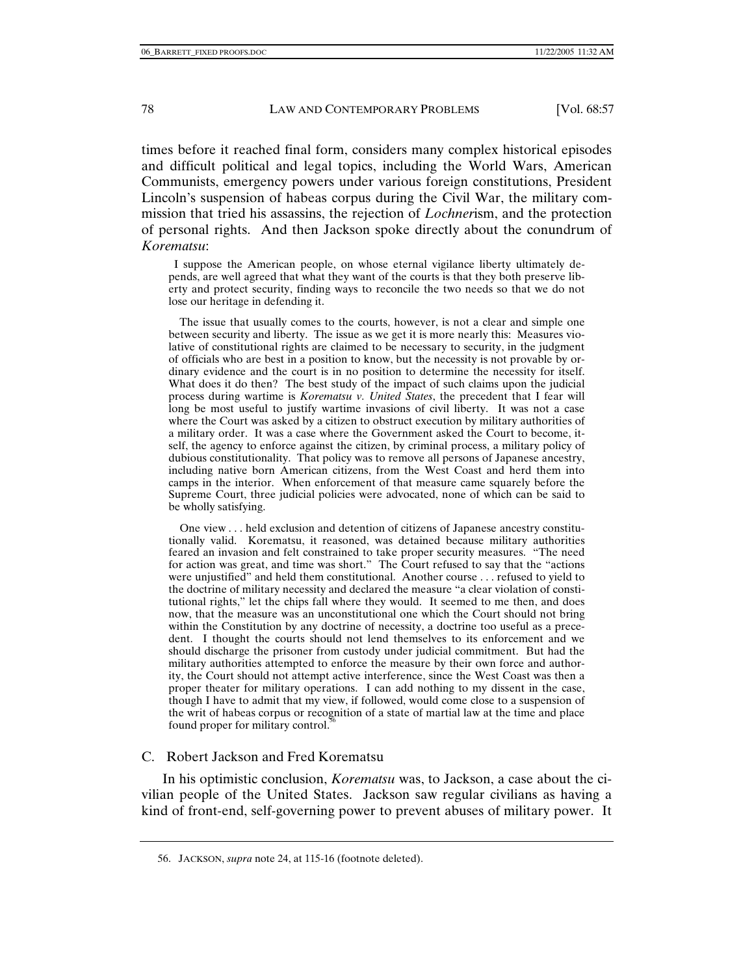times before it reached final form, considers many complex historical episodes and difficult political and legal topics, including the World Wars, American Communists, emergency powers under various foreign constitutions, President Lincoln's suspension of habeas corpus during the Civil War, the military commission that tried his assassins, the rejection of *Lochner*ism, and the protection of personal rights. And then Jackson spoke directly about the conundrum of *Korematsu*:

 I suppose the American people, on whose eternal vigilance liberty ultimately depends, are well agreed that what they want of the courts is that they both preserve liberty and protect security, finding ways to reconcile the two needs so that we do not lose our heritage in defending it.

 The issue that usually comes to the courts, however, is not a clear and simple one between security and liberty. The issue as we get it is more nearly this: Measures violative of constitutional rights are claimed to be necessary to security, in the judgment of officials who are best in a position to know, but the necessity is not provable by ordinary evidence and the court is in no position to determine the necessity for itself. What does it do then? The best study of the impact of such claims upon the judicial process during wartime is *Korematsu v. United States*, the precedent that I fear will long be most useful to justify wartime invasions of civil liberty. It was not a case where the Court was asked by a citizen to obstruct execution by military authorities of a military order. It was a case where the Government asked the Court to become, itself, the agency to enforce against the citizen, by criminal process, a military policy of dubious constitutionality. That policy was to remove all persons of Japanese ancestry, including native born American citizens, from the West Coast and herd them into camps in the interior. When enforcement of that measure came squarely before the Supreme Court, three judicial policies were advocated, none of which can be said to be wholly satisfying.

 One view . . . held exclusion and detention of citizens of Japanese ancestry constitutionally valid. Korematsu, it reasoned, was detained because military authorities feared an invasion and felt constrained to take proper security measures. "The need for action was great, and time was short." The Court refused to say that the "actions were unjustified" and held them constitutional. Another course . . . refused to yield to the doctrine of military necessity and declared the measure "a clear violation of constitutional rights," let the chips fall where they would. It seemed to me then, and does now, that the measure was an unconstitutional one which the Court should not bring within the Constitution by any doctrine of necessity, a doctrine too useful as a precedent. I thought the courts should not lend themselves to its enforcement and we should discharge the prisoner from custody under judicial commitment. But had the military authorities attempted to enforce the measure by their own force and authority, the Court should not attempt active interference, since the West Coast was then a proper theater for military operations. I can add nothing to my dissent in the case, though I have to admit that my view, if followed, would come close to a suspension of the writ of habeas corpus or recognition of a state of martial law at the time and place found proper for military control.<sup>56</sup>

## C. Robert Jackson and Fred Korematsu

In his optimistic conclusion, *Korematsu* was, to Jackson, a case about the civilian people of the United States. Jackson saw regular civilians as having a kind of front-end, self-governing power to prevent abuses of military power. It

 <sup>56.</sup> JACKSON, *supra* note 24, at 115-16 (footnote deleted).